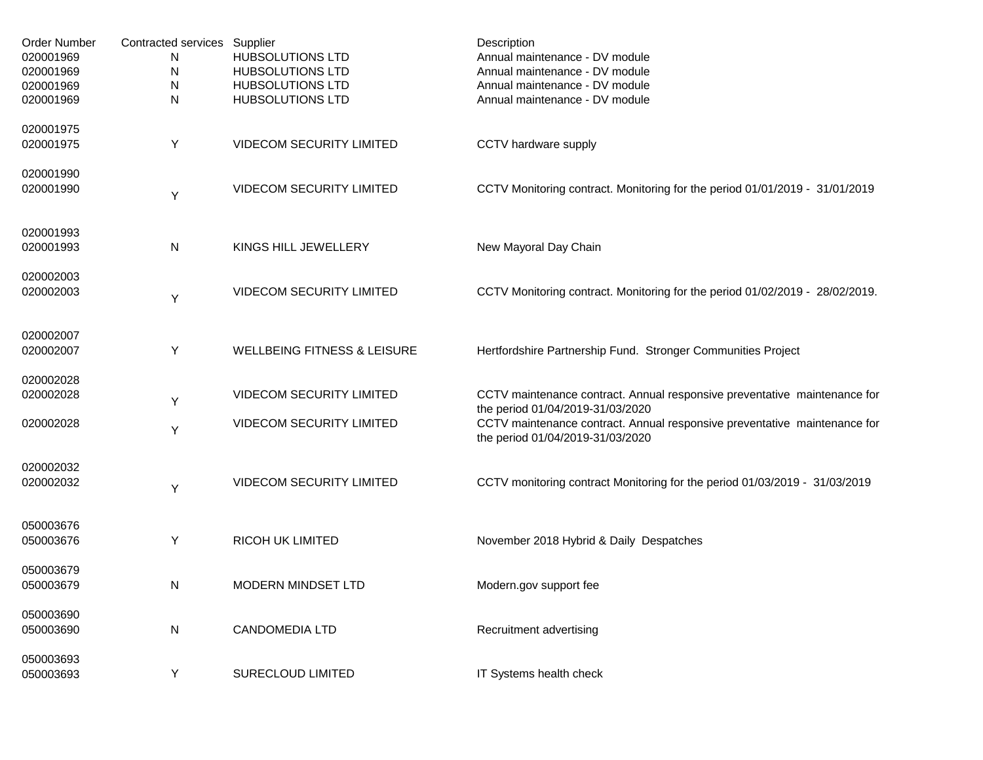| Order Number | Contracted services Supplier |                                        | Description                                                                                                   |
|--------------|------------------------------|----------------------------------------|---------------------------------------------------------------------------------------------------------------|
| 020001969    | N                            | <b>HUBSOLUTIONS LTD</b>                | Annual maintenance - DV module                                                                                |
| 020001969    | N                            | <b>HUBSOLUTIONS LTD</b>                | Annual maintenance - DV module                                                                                |
| 020001969    | ${\sf N}$                    | <b>HUBSOLUTIONS LTD</b>                | Annual maintenance - DV module                                                                                |
| 020001969    | N                            | <b>HUBSOLUTIONS LTD</b>                | Annual maintenance - DV module                                                                                |
| 020001975    |                              |                                        |                                                                                                               |
| 020001975    | Y                            | <b>VIDECOM SECURITY LIMITED</b>        | CCTV hardware supply                                                                                          |
| 020001990    |                              |                                        |                                                                                                               |
| 020001990    | Y                            | <b>VIDECOM SECURITY LIMITED</b>        | CCTV Monitoring contract. Monitoring for the period 01/01/2019 - 31/01/2019                                   |
| 020001993    |                              |                                        |                                                                                                               |
| 020001993    | N                            | KINGS HILL JEWELLERY                   | New Mayoral Day Chain                                                                                         |
| 020002003    |                              |                                        |                                                                                                               |
| 020002003    | Y                            | <b>VIDECOM SECURITY LIMITED</b>        | CCTV Monitoring contract. Monitoring for the period 01/02/2019 - 28/02/2019.                                  |
| 020002007    |                              |                                        |                                                                                                               |
| 020002007    | Υ                            | <b>WELLBEING FITNESS &amp; LEISURE</b> | Hertfordshire Partnership Fund. Stronger Communities Project                                                  |
| 020002028    |                              |                                        |                                                                                                               |
| 020002028    | Y                            | <b>VIDECOM SECURITY LIMITED</b>        | CCTV maintenance contract. Annual responsive preventative maintenance for<br>the period 01/04/2019-31/03/2020 |
| 020002028    | Y                            | <b>VIDECOM SECURITY LIMITED</b>        | CCTV maintenance contract. Annual responsive preventative maintenance for<br>the period 01/04/2019-31/03/2020 |
| 020002032    |                              |                                        |                                                                                                               |
| 020002032    | Y                            | <b>VIDECOM SECURITY LIMITED</b>        | CCTV monitoring contract Monitoring for the period 01/03/2019 - 31/03/2019                                    |
| 050003676    |                              |                                        |                                                                                                               |
| 050003676    | Y                            | <b>RICOH UK LIMITED</b>                | November 2018 Hybrid & Daily Despatches                                                                       |
| 050003679    |                              |                                        |                                                                                                               |
| 050003679    | N                            | MODERN MINDSET LTD                     | Modern.gov support fee                                                                                        |
| 050003690    |                              |                                        |                                                                                                               |
| 050003690    | N                            | <b>CANDOMEDIA LTD</b>                  | Recruitment advertising                                                                                       |
| 050003693    |                              |                                        |                                                                                                               |
| 050003693    | Y                            | <b>SURECLOUD LIMITED</b>               | IT Systems health check                                                                                       |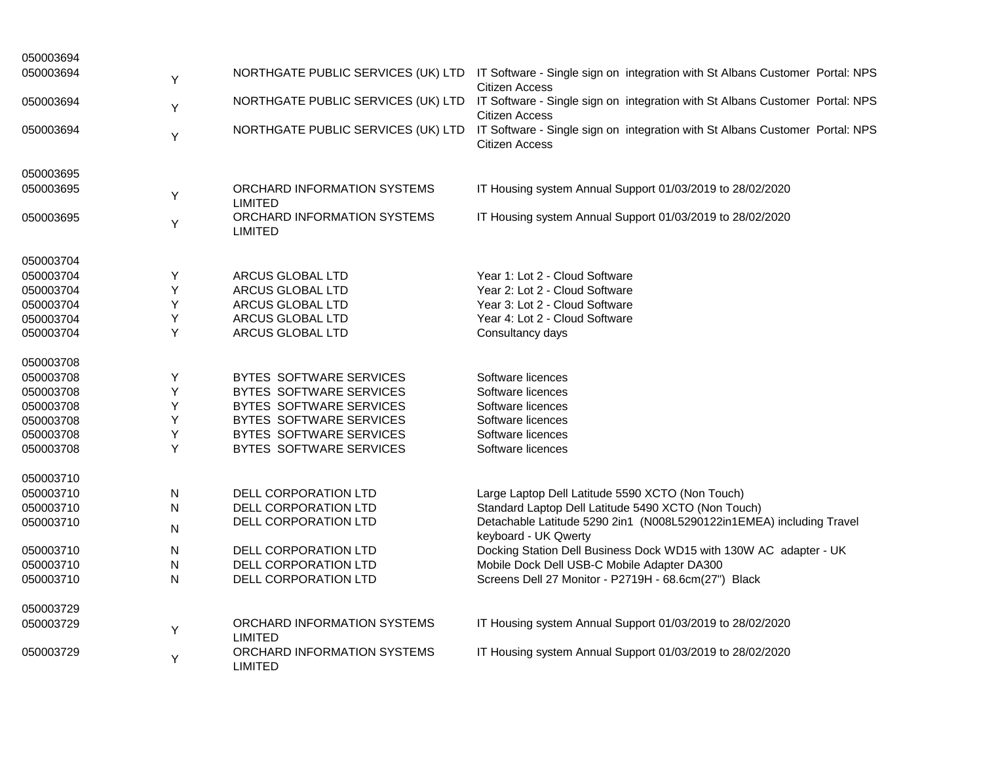| 050003694 |   |                                               |                                                                                                       |
|-----------|---|-----------------------------------------------|-------------------------------------------------------------------------------------------------------|
| 050003694 | Υ | NORTHGATE PUBLIC SERVICES (UK) LTD            | IT Software - Single sign on integration with St Albans Customer Portal: NPS<br><b>Citizen Access</b> |
| 050003694 | Υ | NORTHGATE PUBLIC SERVICES (UK) LTD            | IT Software - Single sign on integration with St Albans Customer Portal: NPS<br><b>Citizen Access</b> |
| 050003694 | Y | NORTHGATE PUBLIC SERVICES (UK) LTD            | IT Software - Single sign on integration with St Albans Customer Portal: NPS<br><b>Citizen Access</b> |
| 050003695 |   |                                               |                                                                                                       |
| 050003695 | Υ | ORCHARD INFORMATION SYSTEMS<br><b>LIMITED</b> | IT Housing system Annual Support 01/03/2019 to 28/02/2020                                             |
| 050003695 | Υ | ORCHARD INFORMATION SYSTEMS<br><b>LIMITED</b> | IT Housing system Annual Support 01/03/2019 to 28/02/2020                                             |
| 050003704 |   |                                               |                                                                                                       |
| 050003704 | Y | ARCUS GLOBAL LTD                              | Year 1: Lot 2 - Cloud Software                                                                        |
| 050003704 | Υ | ARCUS GLOBAL LTD                              | Year 2: Lot 2 - Cloud Software                                                                        |
| 050003704 | Y | ARCUS GLOBAL LTD                              | Year 3: Lot 2 - Cloud Software                                                                        |
| 050003704 | Υ | ARCUS GLOBAL LTD                              | Year 4: Lot 2 - Cloud Software                                                                        |
| 050003704 | Y | ARCUS GLOBAL LTD                              | Consultancy days                                                                                      |
| 050003708 |   |                                               |                                                                                                       |
| 050003708 | Υ | BYTES SOFTWARE SERVICES                       | Software licences                                                                                     |
| 050003708 | Y | BYTES SOFTWARE SERVICES                       | Software licences                                                                                     |
| 050003708 | Υ | BYTES SOFTWARE SERVICES                       | Software licences                                                                                     |
| 050003708 | Y | BYTES SOFTWARE SERVICES                       | Software licences                                                                                     |
| 050003708 | Y | BYTES SOFTWARE SERVICES                       | Software licences                                                                                     |
| 050003708 | Y | BYTES SOFTWARE SERVICES                       | Software licences                                                                                     |
| 050003710 |   |                                               |                                                                                                       |
| 050003710 | N | DELL CORPORATION LTD                          | Large Laptop Dell Latitude 5590 XCTO (Non Touch)                                                      |
| 050003710 | N | DELL CORPORATION LTD                          | Standard Laptop Dell Latitude 5490 XCTO (Non Touch)                                                   |
| 050003710 | N | DELL CORPORATION LTD                          | Detachable Latitude 5290 2in1 (N008L5290122in1EMEA) including Travel<br>keyboard - UK Qwerty          |
| 050003710 | N | DELL CORPORATION LTD                          | Docking Station Dell Business Dock WD15 with 130W AC adapter - UK                                     |
| 050003710 | N | DELL CORPORATION LTD                          | Mobile Dock Dell USB-C Mobile Adapter DA300                                                           |
| 050003710 | N | DELL CORPORATION LTD                          | Screens Dell 27 Monitor - P2719H - 68.6cm(27") Black                                                  |
| 050003729 |   |                                               |                                                                                                       |
| 050003729 | Υ | ORCHARD INFORMATION SYSTEMS<br><b>LIMITED</b> | IT Housing system Annual Support 01/03/2019 to 28/02/2020                                             |
| 050003729 | Υ | ORCHARD INFORMATION SYSTEMS<br><b>LIMITED</b> | IT Housing system Annual Support 01/03/2019 to 28/02/2020                                             |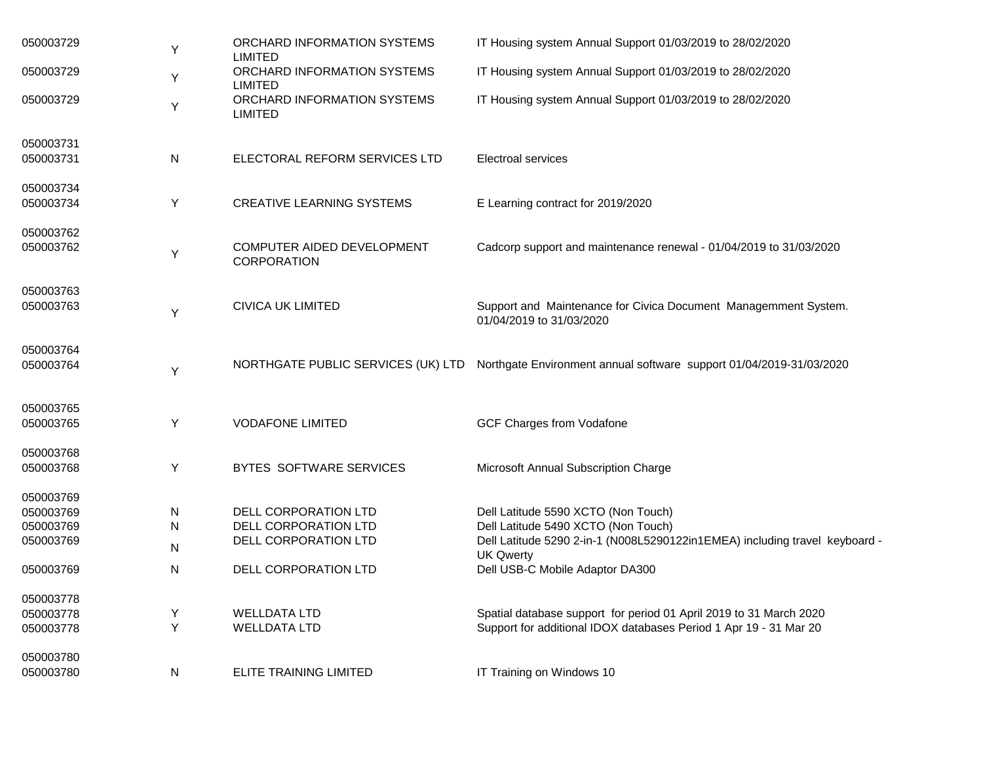| 050003729 | Υ | ORCHARD INFORMATION SYSTEMS<br><b>LIMITED</b>    | IT Housing system Annual Support 01/03/2019 to 28/02/2020                                       |
|-----------|---|--------------------------------------------------|-------------------------------------------------------------------------------------------------|
| 050003729 | Υ | ORCHARD INFORMATION SYSTEMS<br><b>LIMITED</b>    | IT Housing system Annual Support 01/03/2019 to 28/02/2020                                       |
| 050003729 | Υ | ORCHARD INFORMATION SYSTEMS<br><b>LIMITED</b>    | IT Housing system Annual Support 01/03/2019 to 28/02/2020                                       |
| 050003731 |   |                                                  |                                                                                                 |
| 050003731 | N | ELECTORAL REFORM SERVICES LTD                    | <b>Electroal services</b>                                                                       |
| 050003734 |   |                                                  |                                                                                                 |
| 050003734 | Υ | <b>CREATIVE LEARNING SYSTEMS</b>                 | E Learning contract for 2019/2020                                                               |
| 050003762 |   |                                                  |                                                                                                 |
| 050003762 | Υ | COMPUTER AIDED DEVELOPMENT<br><b>CORPORATION</b> | Cadcorp support and maintenance renewal - 01/04/2019 to 31/03/2020                              |
| 050003763 |   |                                                  |                                                                                                 |
| 050003763 | Υ | <b>CIVICA UK LIMITED</b>                         | Support and Maintenance for Civica Document Managemment System.<br>01/04/2019 to 31/03/2020     |
| 050003764 |   |                                                  |                                                                                                 |
| 050003764 | Υ | NORTHGATE PUBLIC SERVICES (UK) LTD               | Northgate Environment annual software support 01/04/2019-31/03/2020                             |
| 050003765 |   |                                                  |                                                                                                 |
| 050003765 | Y | <b>VODAFONE LIMITED</b>                          | <b>GCF Charges from Vodafone</b>                                                                |
| 050003768 |   |                                                  |                                                                                                 |
| 050003768 | Υ | BYTES SOFTWARE SERVICES                          | Microsoft Annual Subscription Charge                                                            |
| 050003769 |   |                                                  |                                                                                                 |
| 050003769 | N | DELL CORPORATION LTD                             | Dell Latitude 5590 XCTO (Non Touch)                                                             |
| 050003769 | N | DELL CORPORATION LTD                             | Dell Latitude 5490 XCTO (Non Touch)                                                             |
| 050003769 | N | DELL CORPORATION LTD                             | Dell Latitude 5290 2-in-1 (N008L5290122in1EMEA) including travel keyboard -<br><b>UK Qwerty</b> |
| 050003769 | N | DELL CORPORATION LTD                             | Dell USB-C Mobile Adaptor DA300                                                                 |
| 050003778 |   |                                                  |                                                                                                 |
| 050003778 | Υ | <b>WELLDATA LTD</b>                              | Spatial database support for period 01 April 2019 to 31 March 2020                              |
| 050003778 | Y | <b>WELLDATA LTD</b>                              | Support for additional IDOX databases Period 1 Apr 19 - 31 Mar 20                               |
| 050003780 |   |                                                  |                                                                                                 |
| 050003780 | N | <b>ELITE TRAINING LIMITED</b>                    | IT Training on Windows 10                                                                       |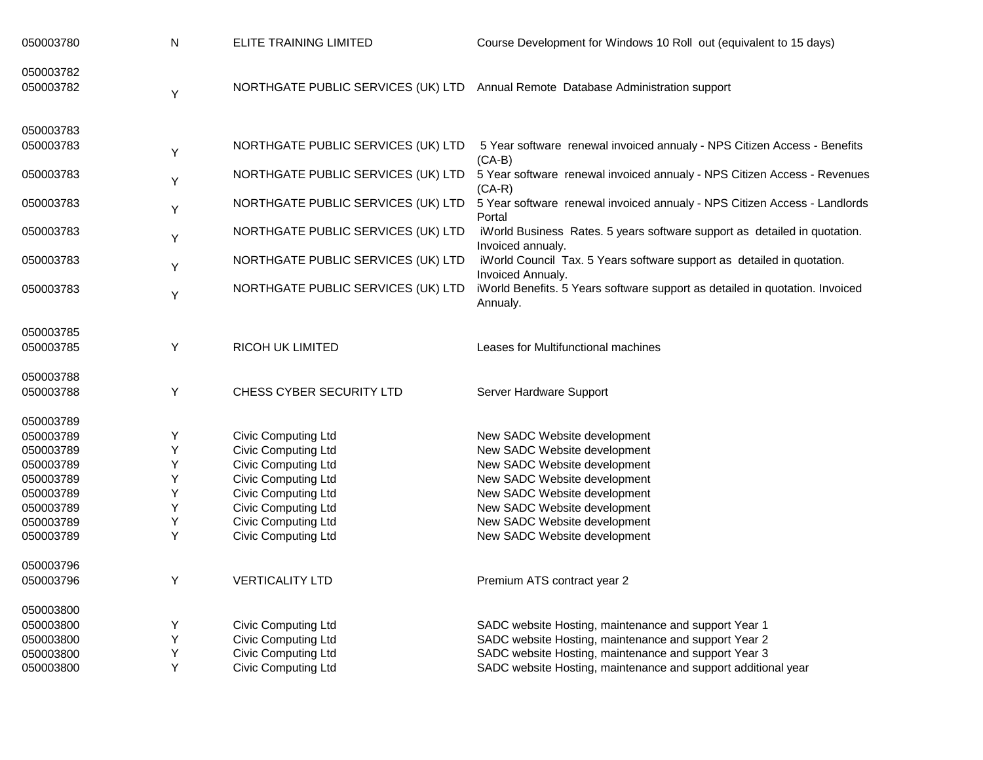| 050003780 | ${\sf N}$ | ELITE TRAINING LIMITED             | Course Development for Windows 10 Roll out (equivalent to 15 days)                                            |
|-----------|-----------|------------------------------------|---------------------------------------------------------------------------------------------------------------|
| 050003782 |           |                                    |                                                                                                               |
| 050003782 | Υ         |                                    | NORTHGATE PUBLIC SERVICES (UK) LTD Annual Remote Database Administration support                              |
| 050003783 |           |                                    |                                                                                                               |
| 050003783 | Υ         | NORTHGATE PUBLIC SERVICES (UK) LTD | 5 Year software renewal invoiced annualy - NPS Citizen Access - Benefits<br>$(CA-B)$                          |
| 050003783 | Υ         | NORTHGATE PUBLIC SERVICES (UK) LTD | 5 Year software renewal invoiced annualy - NPS Citizen Access - Revenues<br>$(CA-R)$                          |
| 050003783 | Υ         | NORTHGATE PUBLIC SERVICES (UK) LTD | 5 Year software renewal invoiced annualy - NPS Citizen Access - Landlords<br>Portal                           |
| 050003783 | Υ         | NORTHGATE PUBLIC SERVICES (UK) LTD | iWorld Business Rates. 5 years software support as detailed in quotation.<br>Invoiced annualy.                |
| 050003783 | Υ         | NORTHGATE PUBLIC SERVICES (UK) LTD | iWorld Council Tax. 5 Years software support as detailed in quotation.                                        |
| 050003783 | Υ         | NORTHGATE PUBLIC SERVICES (UK) LTD | Invoiced Annualy.<br>iWorld Benefits. 5 Years software support as detailed in quotation. Invoiced<br>Annualy. |
| 050003785 |           |                                    |                                                                                                               |
| 050003785 | Υ         | <b>RICOH UK LIMITED</b>            | Leases for Multifunctional machines                                                                           |
| 050003788 |           |                                    |                                                                                                               |
| 050003788 | Υ         | CHESS CYBER SECURITY LTD           | Server Hardware Support                                                                                       |
| 050003789 |           |                                    |                                                                                                               |
| 050003789 | Υ         | Civic Computing Ltd                | New SADC Website development                                                                                  |
| 050003789 | Υ         | <b>Civic Computing Ltd</b>         | New SADC Website development                                                                                  |
| 050003789 | Υ         | <b>Civic Computing Ltd</b>         | New SADC Website development                                                                                  |
| 050003789 | Υ         | Civic Computing Ltd                | New SADC Website development                                                                                  |
| 050003789 | Υ         | <b>Civic Computing Ltd</b>         | New SADC Website development                                                                                  |
| 050003789 | Υ         | <b>Civic Computing Ltd</b>         | New SADC Website development                                                                                  |
| 050003789 | Υ         | <b>Civic Computing Ltd</b>         | New SADC Website development                                                                                  |
| 050003789 | Y         | Civic Computing Ltd                | New SADC Website development                                                                                  |
| 050003796 |           |                                    |                                                                                                               |
| 050003796 | Υ         | <b>VERTICALITY LTD</b>             | Premium ATS contract year 2                                                                                   |
| 050003800 |           |                                    |                                                                                                               |
| 050003800 | Υ         | Civic Computing Ltd                | SADC website Hosting, maintenance and support Year 1                                                          |
| 050003800 | Υ         | <b>Civic Computing Ltd</b>         | SADC website Hosting, maintenance and support Year 2                                                          |
| 050003800 | Υ         | Civic Computing Ltd                | SADC website Hosting, maintenance and support Year 3                                                          |
| 050003800 | Y         | <b>Civic Computing Ltd</b>         | SADC website Hosting, maintenance and support additional year                                                 |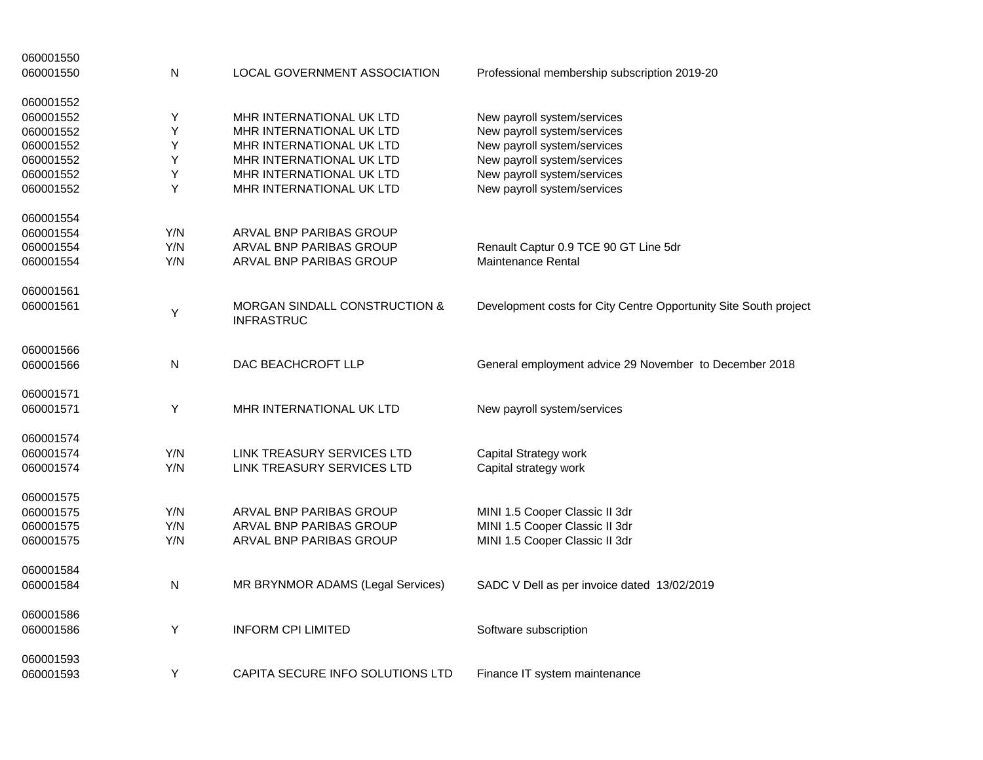| 060001550 |     |                                                               |                                                                  |
|-----------|-----|---------------------------------------------------------------|------------------------------------------------------------------|
| 060001550 | N   | LOCAL GOVERNMENT ASSOCIATION                                  | Professional membership subscription 2019-20                     |
| 060001552 |     |                                                               |                                                                  |
| 060001552 | Υ   | <b>MHR INTERNATIONAL UK LTD</b>                               | New payroll system/services                                      |
| 060001552 | Y   | MHR INTERNATIONAL UK LTD                                      | New payroll system/services                                      |
| 060001552 | Y   | MHR INTERNATIONAL UK LTD                                      | New payroll system/services                                      |
| 060001552 | Y   | MHR INTERNATIONAL UK LTD                                      | New payroll system/services                                      |
| 060001552 | Υ   | MHR INTERNATIONAL UK LTD                                      | New payroll system/services                                      |
| 060001552 | Y   | MHR INTERNATIONAL UK LTD                                      | New payroll system/services                                      |
| 060001554 |     |                                                               |                                                                  |
| 060001554 | Y/N | ARVAL BNP PARIBAS GROUP                                       |                                                                  |
| 060001554 | Y/N | ARVAL BNP PARIBAS GROUP                                       | Renault Captur 0.9 TCE 90 GT Line 5dr                            |
| 060001554 | Y/N | ARVAL BNP PARIBAS GROUP                                       | Maintenance Rental                                               |
| 060001561 |     |                                                               |                                                                  |
| 060001561 | Υ   | <b>MORGAN SINDALL CONSTRUCTION &amp;</b><br><b>INFRASTRUC</b> | Development costs for City Centre Opportunity Site South project |
| 060001566 |     |                                                               |                                                                  |
| 060001566 | N   | DAC BEACHCROFT LLP                                            | General employment advice 29 November to December 2018           |
| 060001571 |     |                                                               |                                                                  |
| 060001571 | Y   | MHR INTERNATIONAL UK LTD                                      | New payroll system/services                                      |
| 060001574 |     |                                                               |                                                                  |
| 060001574 | Y/N | LINK TREASURY SERVICES LTD                                    | Capital Strategy work                                            |
| 060001574 | Y/N | LINK TREASURY SERVICES LTD                                    | Capital strategy work                                            |
| 060001575 |     |                                                               |                                                                  |
| 060001575 | Y/N | ARVAL BNP PARIBAS GROUP                                       | MINI 1.5 Cooper Classic II 3dr                                   |
| 060001575 | Y/N | ARVAL BNP PARIBAS GROUP                                       | MINI 1.5 Cooper Classic II 3dr                                   |
| 060001575 | Y/N | ARVAL BNP PARIBAS GROUP                                       | MINI 1.5 Cooper Classic II 3dr                                   |
| 060001584 |     |                                                               |                                                                  |
| 060001584 | N   | MR BRYNMOR ADAMS (Legal Services)                             | SADC V Dell as per invoice dated 13/02/2019                      |
| 060001586 |     |                                                               |                                                                  |
| 060001586 | Y   | <b>INFORM CPI LIMITED</b>                                     | Software subscription                                            |
| 060001593 |     |                                                               |                                                                  |
| 060001593 | Y   | CAPITA SECURE INFO SOLUTIONS LTD                              | Finance IT system maintenance                                    |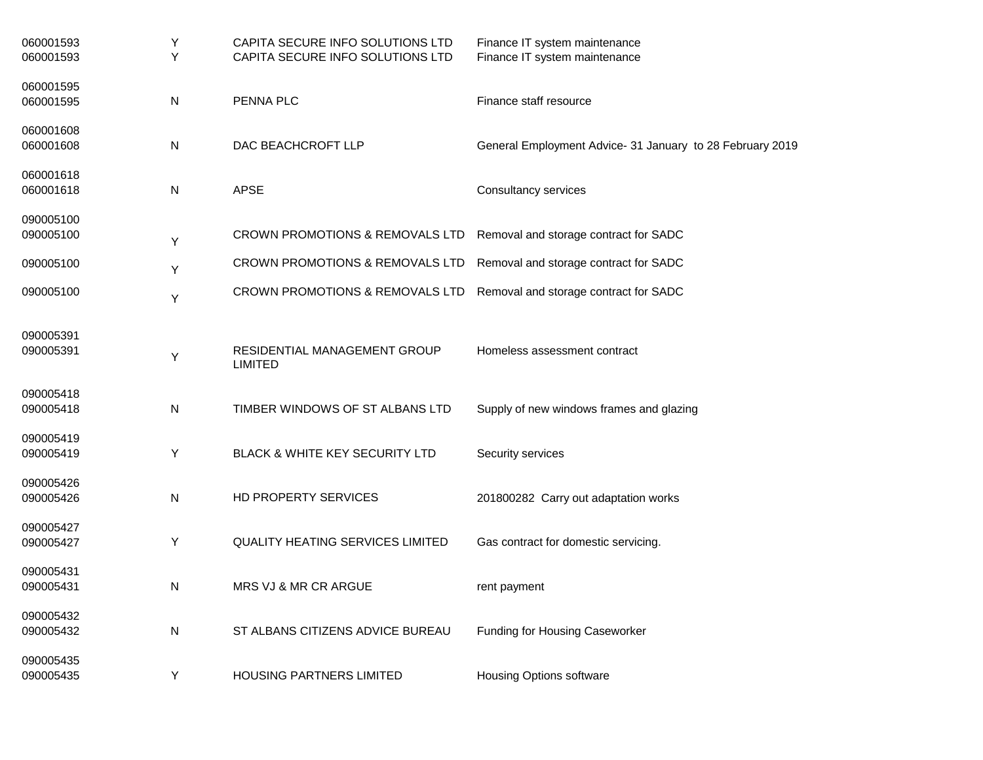| 060001593<br>060001593 | Y<br>Y | CAPITA SECURE INFO SOLUTIONS LTD<br>CAPITA SECURE INFO SOLUTIONS LTD | Finance IT system maintenance<br>Finance IT system maintenance |
|------------------------|--------|----------------------------------------------------------------------|----------------------------------------------------------------|
| 060001595              |        |                                                                      |                                                                |
| 060001595              | N      | PENNA PLC                                                            | Finance staff resource                                         |
| 060001608              |        |                                                                      |                                                                |
| 060001608              | N      | DAC BEACHCROFT LLP                                                   | General Employment Advice- 31 January to 28 February 2019      |
| 060001618              |        |                                                                      |                                                                |
| 060001618              | N      | <b>APSE</b>                                                          | <b>Consultancy services</b>                                    |
| 090005100              |        |                                                                      |                                                                |
| 090005100              | Υ      | CROWN PROMOTIONS & REMOVALS LTD                                      | Removal and storage contract for SADC                          |
| 090005100              | Υ      | CROWN PROMOTIONS & REMOVALS LTD                                      | Removal and storage contract for SADC                          |
| 090005100              | Υ      | CROWN PROMOTIONS & REMOVALS LTD                                      | Removal and storage contract for SADC                          |
| 090005391              |        |                                                                      |                                                                |
| 090005391              | Υ      | RESIDENTIAL MANAGEMENT GROUP<br><b>LIMITED</b>                       | Homeless assessment contract                                   |
| 090005418              |        |                                                                      |                                                                |
| 090005418              | N      | TIMBER WINDOWS OF ST ALBANS LTD                                      | Supply of new windows frames and glazing                       |
| 090005419              |        |                                                                      |                                                                |
| 090005419              | Υ      | <b>BLACK &amp; WHITE KEY SECURITY LTD</b>                            | Security services                                              |
| 090005426              |        |                                                                      |                                                                |
| 090005426              | N      | HD PROPERTY SERVICES                                                 | 201800282 Carry out adaptation works                           |
| 090005427              |        |                                                                      |                                                                |
| 090005427              | Y      | <b>QUALITY HEATING SERVICES LIMITED</b>                              | Gas contract for domestic servicing.                           |
| 090005431              |        |                                                                      |                                                                |
| 090005431              | N      | <b>MRS VJ &amp; MR CR ARGUE</b>                                      | rent payment                                                   |
| 090005432              |        |                                                                      |                                                                |
| 090005432              | N      | ST ALBANS CITIZENS ADVICE BUREAU                                     | <b>Funding for Housing Caseworker</b>                          |
| 090005435<br>090005435 | Υ      | <b>HOUSING PARTNERS LIMITED</b>                                      | <b>Housing Options software</b>                                |
|                        |        |                                                                      |                                                                |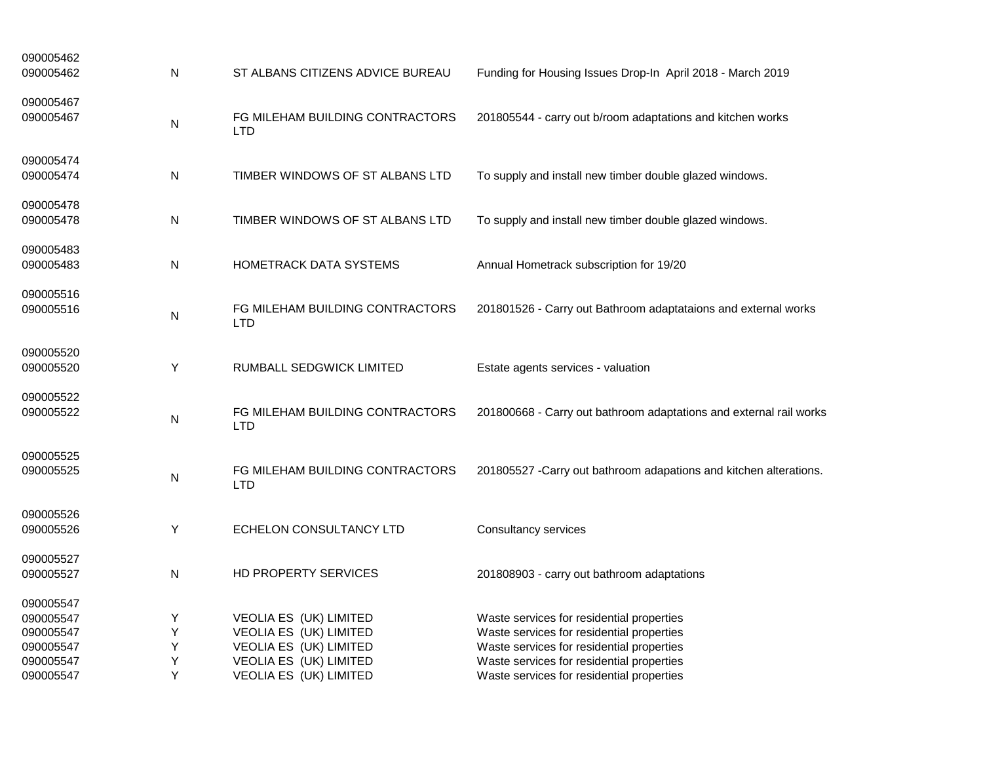| 090005462<br>090005462                                                     | N                     | ST ALBANS CITIZENS ADVICE BUREAU                                                                                               | Funding for Housing Issues Drop-In April 2018 - March 2019                                                                                                                                                                    |
|----------------------------------------------------------------------------|-----------------------|--------------------------------------------------------------------------------------------------------------------------------|-------------------------------------------------------------------------------------------------------------------------------------------------------------------------------------------------------------------------------|
| 090005467<br>090005467                                                     | N                     | FG MILEHAM BUILDING CONTRACTORS<br>LTD                                                                                         | 201805544 - carry out b/room adaptations and kitchen works                                                                                                                                                                    |
| 090005474<br>090005474                                                     | N                     | TIMBER WINDOWS OF ST ALBANS LTD                                                                                                | To supply and install new timber double glazed windows.                                                                                                                                                                       |
| 090005478<br>090005478                                                     | N                     | TIMBER WINDOWS OF ST ALBANS LTD                                                                                                | To supply and install new timber double glazed windows.                                                                                                                                                                       |
| 090005483<br>090005483                                                     | N                     | <b>HOMETRACK DATA SYSTEMS</b>                                                                                                  | Annual Hometrack subscription for 19/20                                                                                                                                                                                       |
| 090005516<br>090005516                                                     | N                     | FG MILEHAM BUILDING CONTRACTORS<br><b>LTD</b>                                                                                  | 201801526 - Carry out Bathroom adaptataions and external works                                                                                                                                                                |
| 090005520<br>090005520                                                     | Υ                     | RUMBALL SEDGWICK LIMITED                                                                                                       | Estate agents services - valuation                                                                                                                                                                                            |
| 090005522<br>090005522                                                     | N                     | FG MILEHAM BUILDING CONTRACTORS<br><b>LTD</b>                                                                                  | 201800668 - Carry out bathroom adaptations and external rail works                                                                                                                                                            |
| 090005525<br>090005525                                                     | N                     | FG MILEHAM BUILDING CONTRACTORS<br><b>LTD</b>                                                                                  | 201805527 - Carry out bathroom adapations and kitchen alterations.                                                                                                                                                            |
| 090005526<br>090005526                                                     | Υ                     | ECHELON CONSULTANCY LTD                                                                                                        | Consultancy services                                                                                                                                                                                                          |
| 090005527<br>090005527                                                     | N                     | HD PROPERTY SERVICES                                                                                                           | 201808903 - carry out bathroom adaptations                                                                                                                                                                                    |
| 090005547<br>090005547<br>090005547<br>090005547<br>090005547<br>090005547 | Y<br>Υ<br>Υ<br>Υ<br>Υ | VEOLIA ES (UK) LIMITED<br>VEOLIA ES (UK) LIMITED<br>VEOLIA ES (UK) LIMITED<br>VEOLIA ES (UK) LIMITED<br>VEOLIA ES (UK) LIMITED | Waste services for residential properties<br>Waste services for residential properties<br>Waste services for residential properties<br>Waste services for residential properties<br>Waste services for residential properties |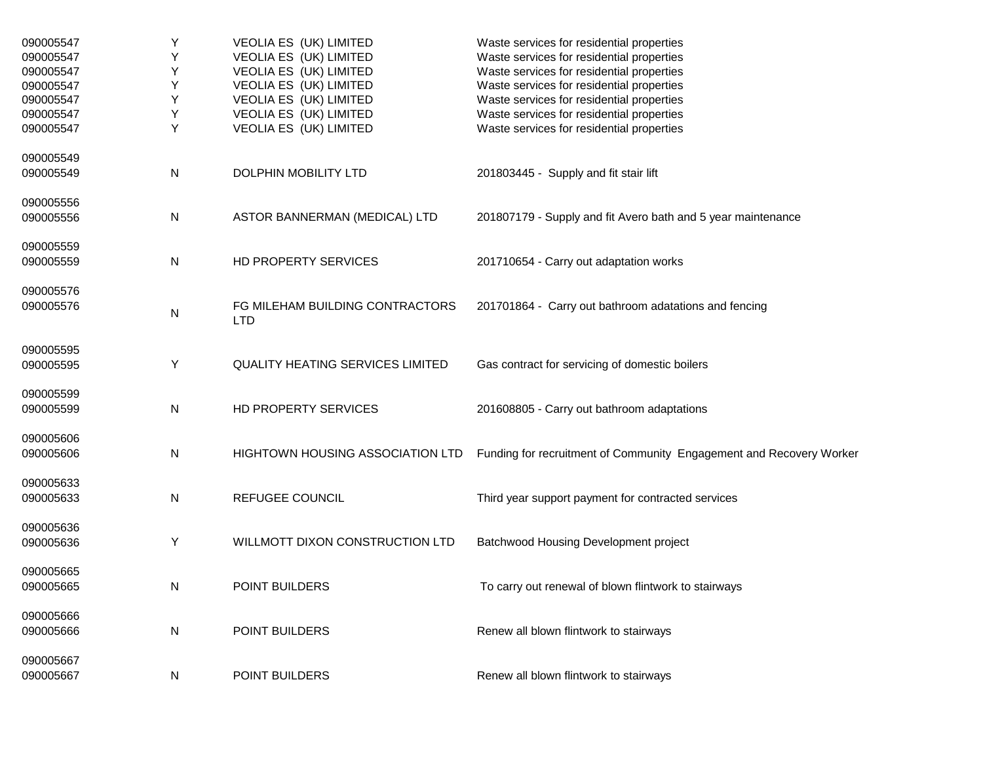| 090005547 | Υ | VEOLIA ES (UK) LIMITED                        | Waste services for residential properties                           |
|-----------|---|-----------------------------------------------|---------------------------------------------------------------------|
| 090005547 | Υ | VEOLIA ES (UK) LIMITED                        | Waste services for residential properties                           |
| 090005547 | Υ | VEOLIA ES (UK) LIMITED                        | Waste services for residential properties                           |
| 090005547 | Υ | VEOLIA ES (UK) LIMITED                        | Waste services for residential properties                           |
| 090005547 | Υ | VEOLIA ES (UK) LIMITED                        | Waste services for residential properties                           |
| 090005547 | Υ | VEOLIA ES (UK) LIMITED                        | Waste services for residential properties                           |
| 090005547 | Υ | VEOLIA ES (UK) LIMITED                        | Waste services for residential properties                           |
| 090005549 |   |                                               |                                                                     |
| 090005549 | N | <b>DOLPHIN MOBILITY LTD</b>                   | 201803445 - Supply and fit stair lift                               |
| 090005556 |   |                                               |                                                                     |
| 090005556 | N | ASTOR BANNERMAN (MEDICAL) LTD                 | 201807179 - Supply and fit Avero bath and 5 year maintenance        |
| 090005559 |   |                                               |                                                                     |
| 090005559 | N | <b>HD PROPERTY SERVICES</b>                   | 201710654 - Carry out adaptation works                              |
| 090005576 |   |                                               |                                                                     |
| 090005576 | N | FG MILEHAM BUILDING CONTRACTORS<br><b>LTD</b> | 201701864 - Carry out bathroom adatations and fencing               |
| 090005595 |   |                                               |                                                                     |
| 090005595 | Υ | QUALITY HEATING SERVICES LIMITED              | Gas contract for servicing of domestic boilers                      |
| 090005599 |   |                                               |                                                                     |
| 090005599 | N | HD PROPERTY SERVICES                          | 201608805 - Carry out bathroom adaptations                          |
| 090005606 |   |                                               |                                                                     |
| 090005606 | N | <b>HIGHTOWN HOUSING ASSOCIATION LTD</b>       | Funding for recruitment of Community Engagement and Recovery Worker |
| 090005633 |   |                                               |                                                                     |
| 090005633 | N | REFUGEE COUNCIL                               | Third year support payment for contracted services                  |
| 090005636 |   |                                               |                                                                     |
| 090005636 | Y | WILLMOTT DIXON CONSTRUCTION LTD               | Batchwood Housing Development project                               |
| 090005665 |   |                                               |                                                                     |
| 090005665 | N | POINT BUILDERS                                | To carry out renewal of blown flintwork to stairways                |
| 090005666 |   |                                               |                                                                     |
| 090005666 | N | POINT BUILDERS                                | Renew all blown flintwork to stairways                              |
| 090005667 |   |                                               |                                                                     |
| 090005667 | N | <b>POINT BUILDERS</b>                         | Renew all blown flintwork to stairways                              |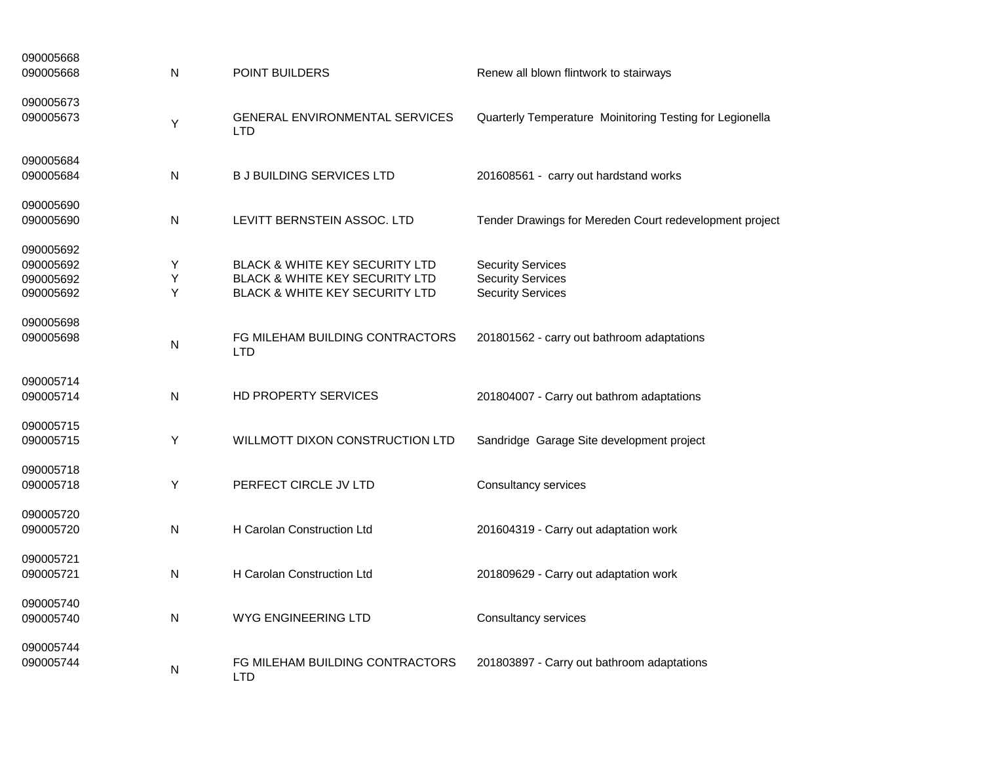| 090005668<br>090005668 | N | <b>POINT BUILDERS</b>                               | Renew all blown flintwork to stairways                   |
|------------------------|---|-----------------------------------------------------|----------------------------------------------------------|
| 090005673              |   |                                                     |                                                          |
| 090005673              | Υ | <b>GENERAL ENVIRONMENTAL SERVICES</b><br><b>LTD</b> | Quarterly Temperature Moinitoring Testing for Legionella |
| 090005684              |   |                                                     |                                                          |
| 090005684              | N | <b>B J BUILDING SERVICES LTD</b>                    | 201608561 - carry out hardstand works                    |
| 090005690              |   |                                                     |                                                          |
| 090005690              | N | LEVITT BERNSTEIN ASSOC. LTD                         | Tender Drawings for Mereden Court redevelopment project  |
| 090005692              |   |                                                     |                                                          |
| 090005692              | Υ | <b>BLACK &amp; WHITE KEY SECURITY LTD</b>           | <b>Security Services</b>                                 |
| 090005692              | Y | BLACK & WHITE KEY SECURITY LTD                      | <b>Security Services</b>                                 |
| 090005692              | Υ | BLACK & WHITE KEY SECURITY LTD                      | <b>Security Services</b>                                 |
| 090005698              |   |                                                     |                                                          |
| 090005698              | N | FG MILEHAM BUILDING CONTRACTORS<br><b>LTD</b>       | 201801562 - carry out bathroom adaptations               |
| 090005714              |   |                                                     |                                                          |
| 090005714              | N | HD PROPERTY SERVICES                                | 201804007 - Carry out bathrom adaptations                |
| 090005715              |   |                                                     |                                                          |
| 090005715              | Y | WILLMOTT DIXON CONSTRUCTION LTD                     | Sandridge Garage Site development project                |
| 090005718              |   |                                                     |                                                          |
| 090005718              | Y | PERFECT CIRCLE JV LTD                               | Consultancy services                                     |
| 090005720              |   |                                                     |                                                          |
| 090005720              | N | H Carolan Construction Ltd                          | 201604319 - Carry out adaptation work                    |
| 090005721              |   |                                                     |                                                          |
| 090005721              | N | H Carolan Construction Ltd                          | 201809629 - Carry out adaptation work                    |
| 090005740              |   |                                                     |                                                          |
| 090005740              | N | WYG ENGINEERING LTD                                 | Consultancy services                                     |
| 090005744              |   |                                                     |                                                          |
| 090005744              | N | FG MILEHAM BUILDING CONTRACTORS<br>LTD              | 201803897 - Carry out bathroom adaptations               |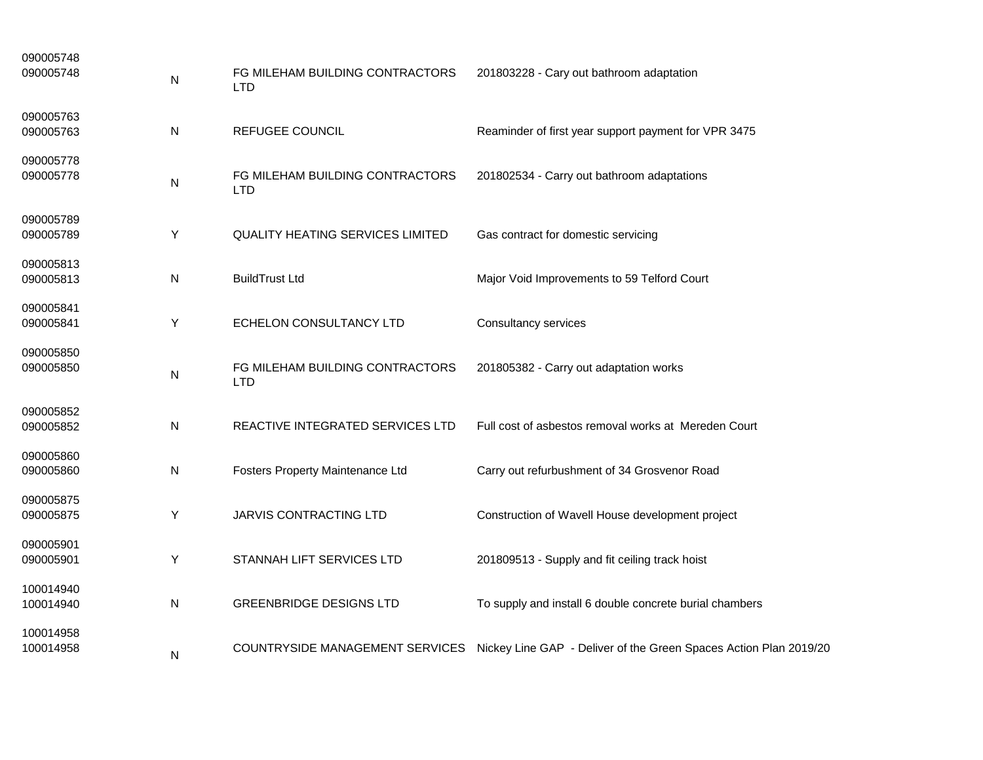| 090005748<br>090005748 | N | FG MILEHAM BUILDING CONTRACTORS<br><b>LTD</b> | 201803228 - Cary out bathroom adaptation                                                          |
|------------------------|---|-----------------------------------------------|---------------------------------------------------------------------------------------------------|
| 090005763<br>090005763 | N | <b>REFUGEE COUNCIL</b>                        | Reaminder of first year support payment for VPR 3475                                              |
| 090005778<br>090005778 | N | FG MILEHAM BUILDING CONTRACTORS<br><b>LTD</b> | 201802534 - Carry out bathroom adaptations                                                        |
| 090005789<br>090005789 | Υ | <b>QUALITY HEATING SERVICES LIMITED</b>       | Gas contract for domestic servicing                                                               |
| 090005813<br>090005813 | N | <b>BuildTrust Ltd</b>                         | Major Void Improvements to 59 Telford Court                                                       |
| 090005841<br>090005841 | Υ | ECHELON CONSULTANCY LTD                       | <b>Consultancy services</b>                                                                       |
| 090005850<br>090005850 | Ν | FG MILEHAM BUILDING CONTRACTORS<br><b>LTD</b> | 201805382 - Carry out adaptation works                                                            |
| 090005852<br>090005852 | N | REACTIVE INTEGRATED SERVICES LTD              | Full cost of asbestos removal works at Mereden Court                                              |
| 090005860<br>090005860 | Ν | Fosters Property Maintenance Ltd              | Carry out refurbushment of 34 Grosvenor Road                                                      |
| 090005875<br>090005875 | Y | <b>JARVIS CONTRACTING LTD</b>                 | Construction of Wavell House development project                                                  |
| 090005901<br>090005901 | Υ | STANNAH LIFT SERVICES LTD                     | 201809513 - Supply and fit ceiling track hoist                                                    |
| 100014940<br>100014940 | N | <b>GREENBRIDGE DESIGNS LTD</b>                | To supply and install 6 double concrete burial chambers                                           |
| 100014958<br>100014958 | N |                                               | COUNTRYSIDE MANAGEMENT SERVICES Nickey Line GAP - Deliver of the Green Spaces Action Plan 2019/20 |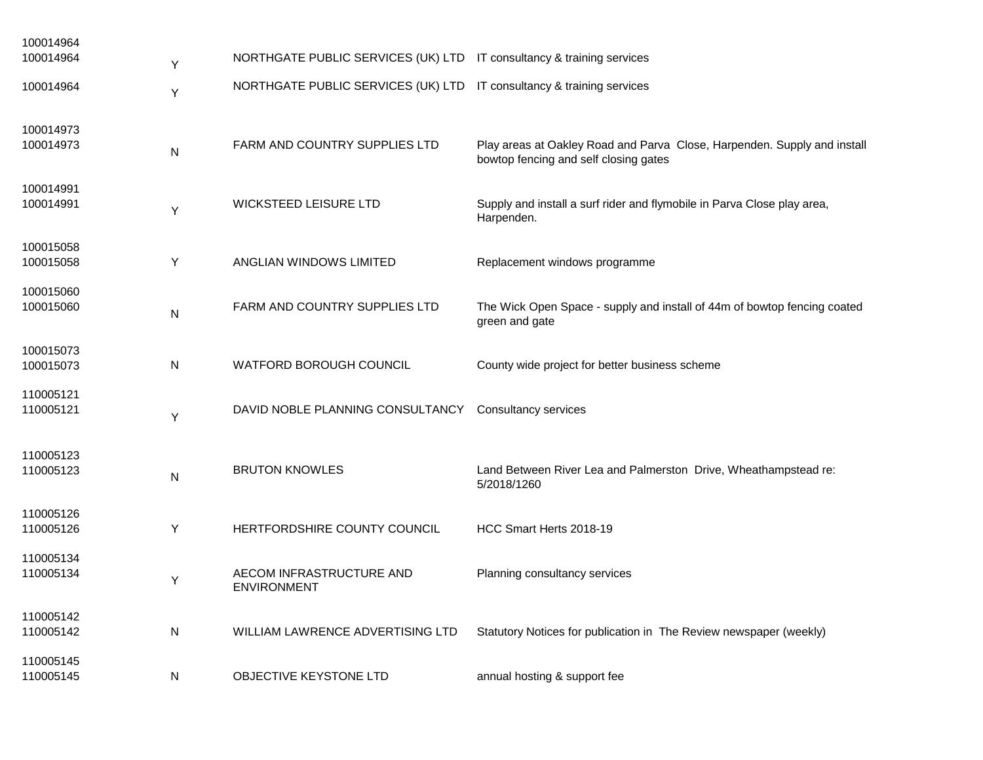| 100014964              |           |                                                                       |                                                                                            |
|------------------------|-----------|-----------------------------------------------------------------------|--------------------------------------------------------------------------------------------|
| 100014964              | Υ         | NORTHGATE PUBLIC SERVICES (UK) LTD IT consultancy & training services |                                                                                            |
| 100014964              | Υ         | NORTHGATE PUBLIC SERVICES (UK) LTD IT consultancy & training services |                                                                                            |
| 100014973<br>100014973 | N         | FARM AND COUNTRY SUPPLIES LTD                                         | Play areas at Oakley Road and Parva Close, Harpenden. Supply and install                   |
|                        |           |                                                                       | bowtop fencing and self closing gates                                                      |
| 100014991              |           |                                                                       |                                                                                            |
| 100014991              | Υ         | WICKSTEED LEISURE LTD                                                 | Supply and install a surf rider and flymobile in Parva Close play area,<br>Harpenden.      |
| 100015058              |           |                                                                       |                                                                                            |
| 100015058              | Υ         | ANGLIAN WINDOWS LIMITED                                               | Replacement windows programme                                                              |
| 100015060              |           |                                                                       |                                                                                            |
| 100015060              | N         | FARM AND COUNTRY SUPPLIES LTD                                         | The Wick Open Space - supply and install of 44m of bowtop fencing coated<br>green and gate |
| 100015073              |           |                                                                       |                                                                                            |
| 100015073              | N         | WATFORD BOROUGH COUNCIL                                               | County wide project for better business scheme                                             |
| 110005121              |           |                                                                       |                                                                                            |
| 110005121              | Υ         | DAVID NOBLE PLANNING CONSULTANCY                                      | <b>Consultancy services</b>                                                                |
| 110005123              |           |                                                                       |                                                                                            |
| 110005123              | ${\sf N}$ | <b>BRUTON KNOWLES</b>                                                 | Land Between River Lea and Palmerston Drive, Wheathampstead re:<br>5/2018/1260             |
| 110005126              |           |                                                                       |                                                                                            |
| 110005126              | Y         | HERTFORDSHIRE COUNTY COUNCIL                                          | HCC Smart Herts 2018-19                                                                    |
| 110005134              |           |                                                                       |                                                                                            |
| 110005134              | Υ         | AECOM INFRASTRUCTURE AND<br><b>ENVIRONMENT</b>                        | Planning consultancy services                                                              |
| 110005142              |           |                                                                       |                                                                                            |
| 110005142              | N         | WILLIAM LAWRENCE ADVERTISING LTD                                      | Statutory Notices for publication in The Review newspaper (weekly)                         |
| 110005145              |           |                                                                       |                                                                                            |
| 110005145              | N         | OBJECTIVE KEYSTONE LTD                                                | annual hosting & support fee                                                               |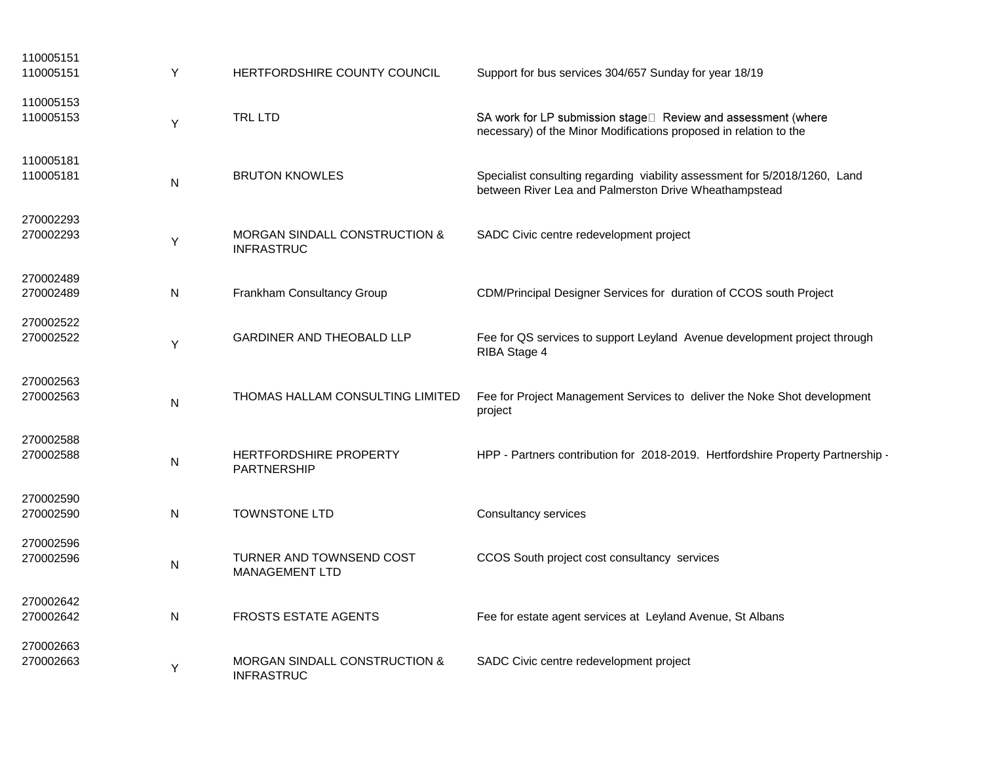| 110005151<br>110005151 | Y         | HERTFORDSHIRE COUNTY COUNCIL                                  | Support for bus services 304/657 Sunday for year 18/19                                                                              |
|------------------------|-----------|---------------------------------------------------------------|-------------------------------------------------------------------------------------------------------------------------------------|
| 110005153<br>110005153 | Y         | <b>TRL LTD</b>                                                | SA work for LP submission stage□ Review and assessment (where<br>necessary) of the Minor Modifications proposed in relation to the  |
| 110005181<br>110005181 | N         | <b>BRUTON KNOWLES</b>                                         | Specialist consulting regarding viability assessment for 5/2018/1260, Land<br>between River Lea and Palmerston Drive Wheathampstead |
| 270002293<br>270002293 | Υ         | <b>MORGAN SINDALL CONSTRUCTION &amp;</b><br><b>INFRASTRUC</b> | SADC Civic centre redevelopment project                                                                                             |
| 270002489<br>270002489 | N         | Frankham Consultancy Group                                    | CDM/Principal Designer Services for duration of CCOS south Project                                                                  |
| 270002522<br>270002522 | Υ         | <b>GARDINER AND THEOBALD LLP</b>                              | Fee for QS services to support Leyland Avenue development project through<br>RIBA Stage 4                                           |
| 270002563<br>270002563 | N         | THOMAS HALLAM CONSULTING LIMITED                              | Fee for Project Management Services to deliver the Noke Shot development<br>project                                                 |
| 270002588<br>270002588 | N         | HERTFORDSHIRE PROPERTY<br>PARTNERSHIP                         | HPP - Partners contribution for 2018-2019. Hertfordshire Property Partnership -                                                     |
| 270002590<br>270002590 | N         | TOWNSTONE LTD                                                 | <b>Consultancy services</b>                                                                                                         |
| 270002596<br>270002596 | ${\sf N}$ | TURNER AND TOWNSEND COST<br><b>MANAGEMENT LTD</b>             | CCOS South project cost consultancy services                                                                                        |
| 270002642<br>270002642 | N         | <b>FROSTS ESTATE AGENTS</b>                                   | Fee for estate agent services at Leyland Avenue, St Albans                                                                          |
| 270002663<br>270002663 | Y         | MORGAN SINDALL CONSTRUCTION &<br><b>INFRASTRUC</b>            | SADC Civic centre redevelopment project                                                                                             |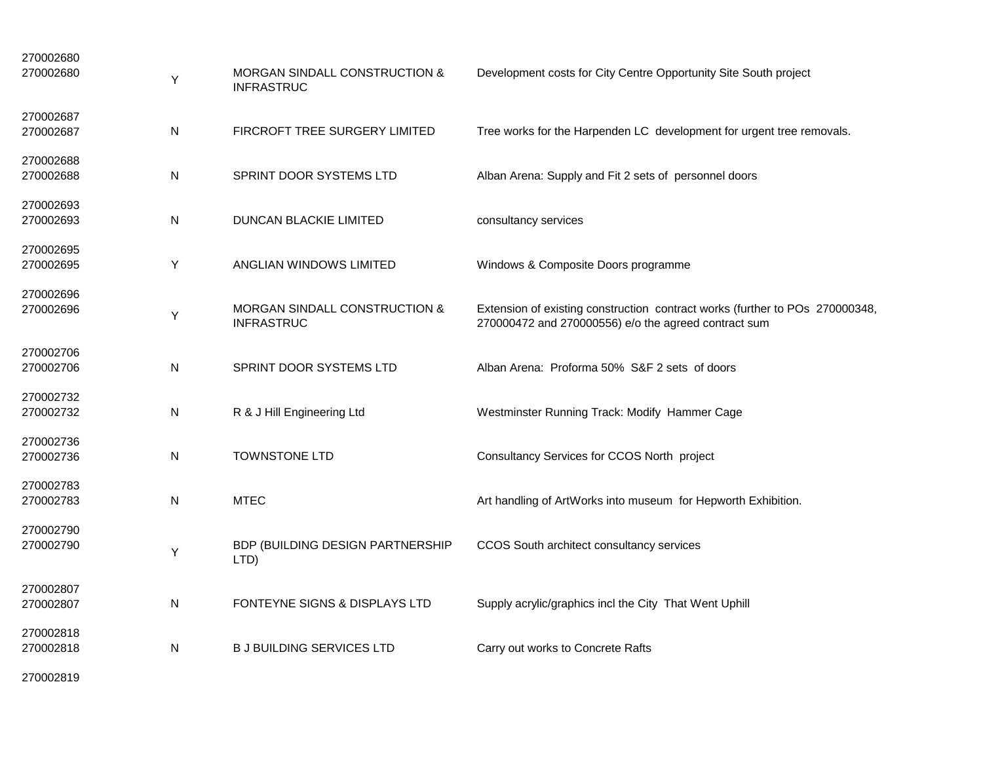| 270002680<br>270002680 | Y            | MORGAN SINDALL CONSTRUCTION &<br><b>INFRASTRUC</b> | Development costs for City Centre Opportunity Site South project                                                                     |
|------------------------|--------------|----------------------------------------------------|--------------------------------------------------------------------------------------------------------------------------------------|
| 270002687<br>270002687 | N            | FIRCROFT TREE SURGERY LIMITED                      | Tree works for the Harpenden LC development for urgent tree removals.                                                                |
| 270002688<br>270002688 | $\mathsf{N}$ | SPRINT DOOR SYSTEMS LTD                            | Alban Arena: Supply and Fit 2 sets of personnel doors                                                                                |
| 270002693<br>270002693 | N            | DUNCAN BLACKIE LIMITED                             | consultancy services                                                                                                                 |
| 270002695<br>270002695 | Υ            | ANGLIAN WINDOWS LIMITED                            | Windows & Composite Doors programme                                                                                                  |
| 270002696<br>270002696 | Y            | MORGAN SINDALL CONSTRUCTION &<br><b>INFRASTRUC</b> | Extension of existing construction contract works (further to POs 270000348,<br>270000472 and 270000556) e/o the agreed contract sum |
| 270002706<br>270002706 | N            | SPRINT DOOR SYSTEMS LTD                            | Alban Arena: Proforma 50% S&F 2 sets of doors                                                                                        |
| 270002732<br>270002732 | N            | R & J Hill Engineering Ltd                         | Westminster Running Track: Modify Hammer Cage                                                                                        |
| 270002736<br>270002736 | N            | <b>TOWNSTONE LTD</b>                               | Consultancy Services for CCOS North project                                                                                          |
| 270002783<br>270002783 | N            | <b>MTEC</b>                                        | Art handling of ArtWorks into museum for Hepworth Exhibition.                                                                        |
| 270002790<br>270002790 | Y            | BDP (BUILDING DESIGN PARTNERSHIP<br>LTD)           | CCOS South architect consultancy services                                                                                            |
| 270002807<br>270002807 | N            | FONTEYNE SIGNS & DISPLAYS LTD                      | Supply acrylic/graphics incl the City That Went Uphill                                                                               |
| 270002818<br>270002818 | ${\sf N}$    | <b>B J BUILDING SERVICES LTD</b>                   | Carry out works to Concrete Rafts                                                                                                    |
| 270002819              |              |                                                    |                                                                                                                                      |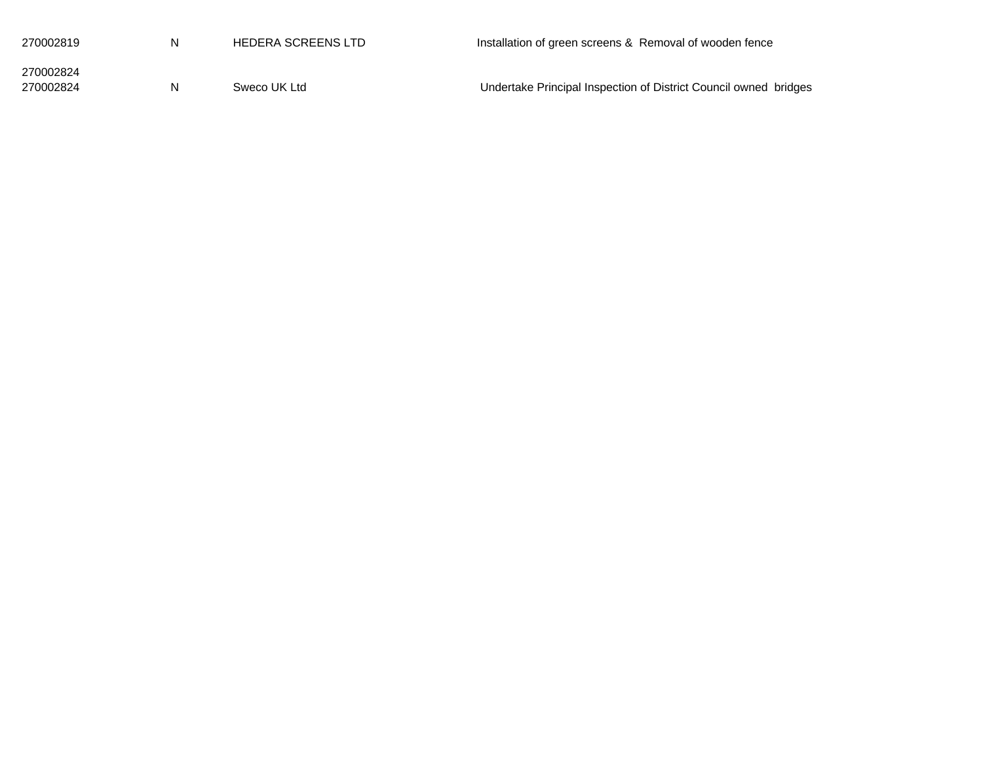| 270002819              | N | HEDERA SCREENS LTD | Installation of green screens & Removal of wooden fence          |
|------------------------|---|--------------------|------------------------------------------------------------------|
| 270002824<br>270002824 | N | Sweco UK Ltd       | Undertake Principal Inspection of District Council owned bridges |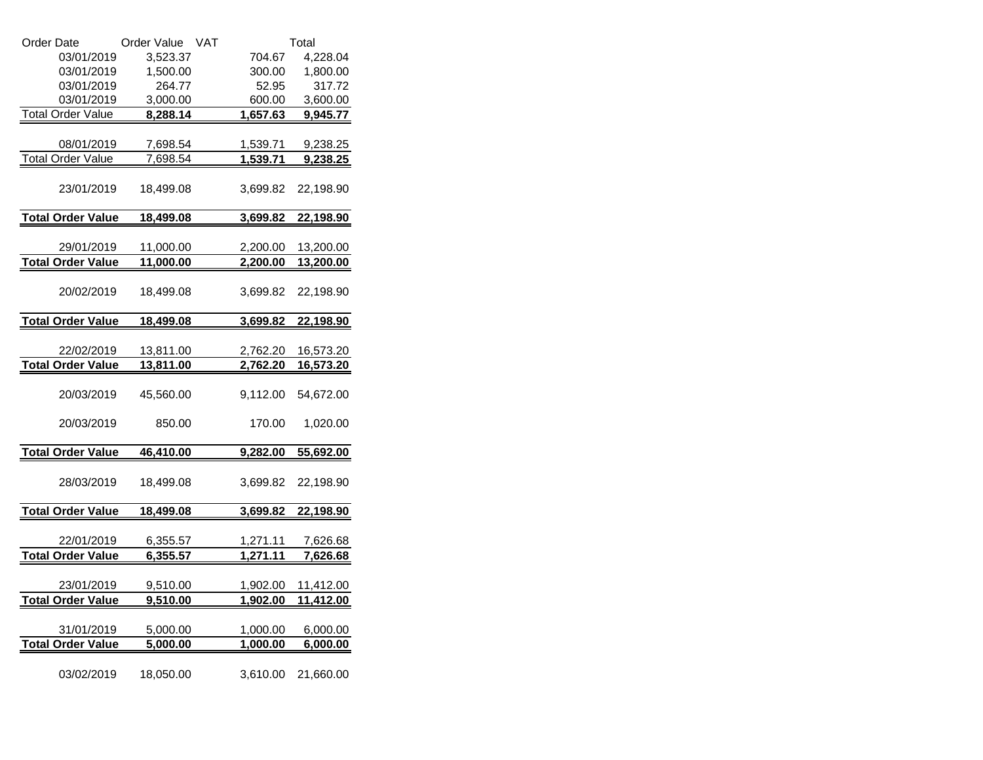| Order Date               | <b>VAT</b><br>Order Value |                 | Total           |
|--------------------------|---------------------------|-----------------|-----------------|
| 03/01/2019               | 3,523.37                  | 704.67          | 4,228.04        |
| 03/01/2019               | 1,500.00                  | 300.00          | 1,800.00        |
| 03/01/2019               | 264.77                    | 52.95           | 317.72          |
| 03/01/2019               | 3,000.00                  | 600.00          | 3,600.00        |
| <b>Total Order Value</b> | 8,288.14                  | 1,657.63        | 9,945.77        |
|                          |                           |                 |                 |
| 08/01/2019               | 7,698.54                  | 1,539.71        | 9,238.25        |
| <b>Total Order Value</b> | 7,698.54                  | 1,539.71        | 9,238.25        |
| 23/01/2019               | 18,499.08                 | 3,699.82        | 22,198.90       |
| <b>Total Order Value</b> | 18,499.08                 | 3,699.82        | 22,198.90       |
|                          |                           |                 |                 |
| 29/01/2019               | 11,000.00                 | 2,200.00        | 13,200.00       |
| <b>Total Order Value</b> | 11,000.00                 | 2,200.00        | 13,200.00       |
| 20/02/2019               | 18,499.08                 | 3,699.82        | 22,198.90       |
| <b>Total Order Value</b> | 18,499.08                 | <u>3,699.82</u> | 22,198.90       |
|                          |                           |                 |                 |
| 22/02/2019               | 13,811.00                 | 2,762.20        | 16,573.20       |
| <b>Total Order Value</b> | 13,811.00                 | 2,762.20        | 16,573.20       |
|                          |                           |                 |                 |
| 20/03/2019               | 45,560.00                 | 9,112.00        | 54,672.00       |
| 20/03/2019               | 850.00                    | 170.00          | 1,020.00        |
| <b>Total Order Value</b> | 46,410.00                 | 9,282.00        | 55,692.00       |
| 28/03/2019               | 18,499.08                 | 3,699.82        | 22,198.90       |
| <b>Total Order Value</b> | 18,499.08                 | 3,699.82        | 22,198.90       |
|                          |                           |                 |                 |
| 22/01/2019               | 6,355.57                  | 1,271.11        | 7,626.68        |
| <b>Total Order Value</b> | 6,355.57                  | 1,271.11        | <u>7,626.68</u> |
|                          |                           |                 |                 |
| 23/01/2019               | 9,510.00                  | 1,902.00        | 11,412.00       |
| <b>Total Order Value</b> | 9,510.00                  | 1,902.00        | 11,412.00       |
|                          |                           |                 |                 |
| 31/01/2019               | 5,000.00                  | 1,000.00        | 6,000.00        |
| <b>Total Order Value</b> | 5,000.00                  | 1,000.00        | 6,000.00        |
|                          |                           |                 |                 |
| 03/02/2019               | 18,050.00                 | 3,610.00        | 21,660.00       |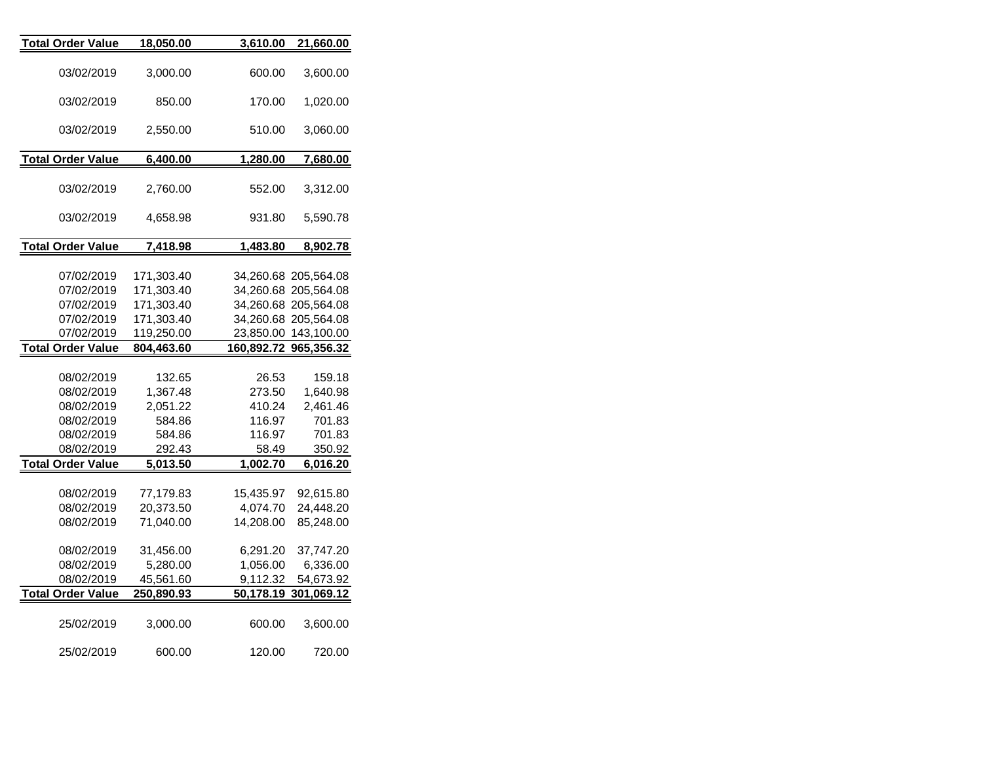| <b>Total Order Value</b> | 18,050.00  | 3,610.00             | 21,660.00             |
|--------------------------|------------|----------------------|-----------------------|
|                          |            |                      |                       |
| 03/02/2019               | 3,000.00   | 600.00               | 3,600.00              |
| 03/02/2019               | 850.00     | 170.00               |                       |
|                          |            |                      | 1,020.00              |
| 03/02/2019               | 2,550.00   | 510.00               | 3,060.00              |
|                          |            |                      |                       |
| <b>Total Order Value</b> | 6,400.00   | 1,280.00             | 7,680.00              |
|                          |            |                      |                       |
| 03/02/2019               | 2,760.00   | 552.00               | 3,312.00              |
| 03/02/2019               | 4,658.98   | 931.80               | 5,590.78              |
|                          |            |                      |                       |
| <b>Total Order Value</b> | 7,418.98   | 1,483.80             | 8,902.78              |
|                          |            |                      |                       |
| 07/02/2019               | 171,303.40 |                      | 34,260.68 205,564.08  |
| 07/02/2019               | 171,303.40 |                      | 34,260.68 205,564.08  |
| 07/02/2019               | 171,303.40 |                      | 34,260.68 205,564.08  |
| 07/02/2019               | 171,303.40 |                      | 34,260.68 205,564.08  |
| 07/02/2019               | 119,250.00 |                      | 23,850.00 143,100.00  |
| <b>Total Order Value</b> | 804,463.60 |                      | 160,892.72 965,356.32 |
|                          |            |                      |                       |
| 08/02/2019               | 132.65     | 26.53                | 159.18                |
| 08/02/2019               | 1,367.48   | 273.50               | 1,640.98              |
| 08/02/2019               | 2,051.22   | 410.24               | 2,461.46              |
| 08/02/2019               | 584.86     | 116.97               | 701.83                |
| 08/02/2019               | 584.86     | 116.97               | 701.83                |
| 08/02/2019               | 292.43     | 58.49                | 350.92                |
| <b>Total Order Value</b> | 5,013.50   | 1,002.70             | 6,016.20              |
|                          |            |                      |                       |
| 08/02/2019               | 77,179.83  | 15,435.97            | 92,615.80             |
| 08/02/2019               | 20,373.50  | 4,074.70             | 24,448.20             |
| 08/02/2019               | 71,040.00  | 14,208.00            | 85,248.00             |
|                          |            |                      |                       |
| 08/02/2019               | 31,456.00  | 6,291.20<br>1,056.00 | 37,747.20             |
| 08/02/2019               | 5,280.00   |                      | 6,336.00              |
| 08/02/2019               | 45,561.60  | 9,112.32             | 54,673.92             |
| <b>Total Order Value</b> | 250,890.93 | 50,178.19            | 301,069.12            |
| 25/02/2019               | 3,000.00   | 600.00               | 3,600.00              |
|                          |            |                      |                       |
| 25/02/2019               | 600.00     | 120.00               | 720.00                |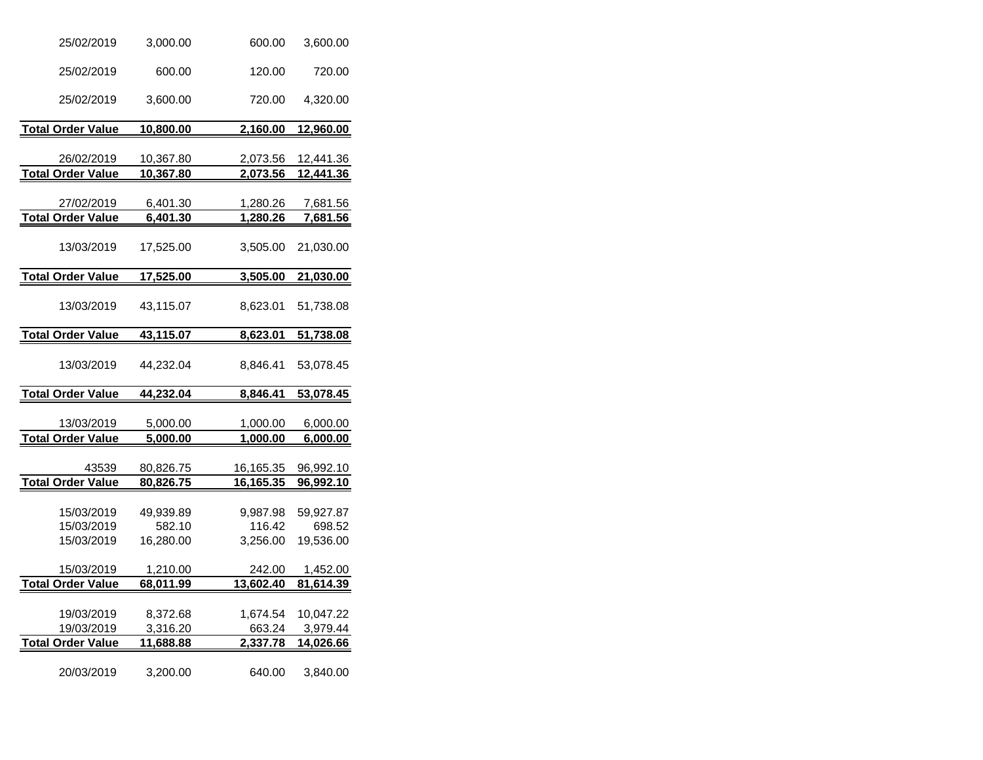| 25/02/2019                             | 3,000.00                         | 600.00                         | 3,600.00                         |
|----------------------------------------|----------------------------------|--------------------------------|----------------------------------|
| 25/02/2019                             | 600.00                           | 120.00                         | 720.00                           |
| 25/02/2019                             | 3,600.00                         | 720.00                         | 4,320.00                         |
| <b>Total Order Value</b>               | 10,800.00                        | 2,160.00                       | 12,960.00                        |
|                                        |                                  |                                |                                  |
| 26/02/2019                             | 10,367.80                        | 2,073.56                       | 12,441.36                        |
| <b>Total Order Value</b>               | <u>10,367.80</u>                 | 2,073.56                       | 12,441.36                        |
| 27/02/2019                             | 6,401.30                         | 1,280.26                       | 7,681.56                         |
| <b>Total Order Value</b>               | 6,401.30                         | 1,280.26                       | 7,681.56                         |
| 13/03/2019                             | 17,525.00                        | 3,505.00                       | 21,030.00                        |
| <b>Total Order Value</b>               | 17,525.00                        | <u>3,505.00</u>                | 21,030.00                        |
| 13/03/2019                             | 43,115.07                        | 8,623.01                       | 51,738.08                        |
| <b>Total Order Value</b>               | 43,115.07                        | 8,623.01                       | 51,738.08                        |
| 13/03/2019                             | 44,232.04                        | 8,846.41                       | 53,078.45                        |
| <b>Total Order Value</b>               | <u>44,232.04</u>                 | 8,846.41                       | 53,078.45                        |
|                                        |                                  |                                |                                  |
| 13/03/2019                             | 5,000.00                         | 1,000.00                       | 6,000.00                         |
| <b>Total Order Value</b>               | <u>5,000.00</u>                  | <u>1,000.00</u>                | 6,000.00                         |
| 43539                                  | 80,826.75                        | 16,165.35                      | 96,992.10                        |
| <b>Total Order Value</b>               | 80,826.75                        | <u>16,165.35</u>               | <u>96,992.10</u>                 |
| 15/03/2019<br>15/03/2019<br>15/03/2019 | 49,939.89<br>582.10<br>16,280.00 | 9,987.98<br>116.42<br>3,256.00 | 59,927.87<br>698.52<br>19,536.00 |
| 15/03/2019                             | 1,210.00                         | 242.00                         | 1,452.00                         |
| <b>Total Order Value</b>               | 68,011.99                        | 13,602.40                      | 81,614.39                        |
|                                        |                                  |                                |                                  |
| 19/03/2019                             | 8,372.68                         | 1,674.54                       | 10,047.22                        |
| 19/03/2019                             | 3,316.20                         | 663.24                         | 3,979.44                         |
| <b>Total Order Value</b>               | 11,688.88                        | 2,337.78                       | 14,026.66                        |
| 20/03/2019                             | 3,200.00                         | 640.00                         | 3,840.00                         |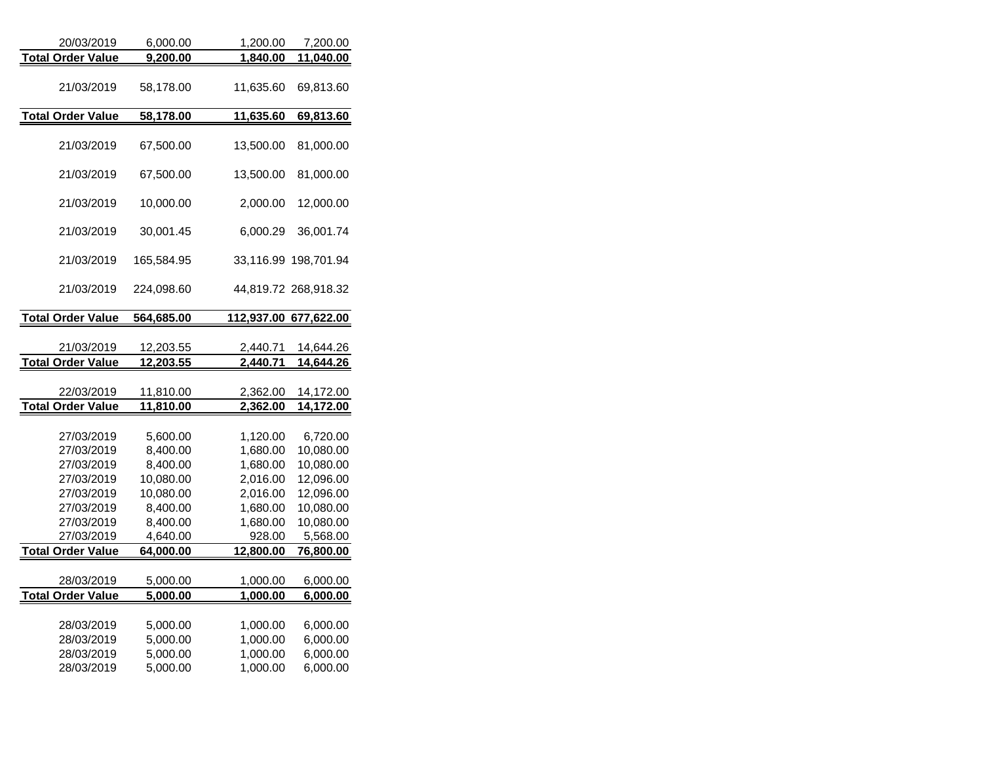| 20/03/2019               | 6,000.00              | 1,200.00             | 7,200.00               |
|--------------------------|-----------------------|----------------------|------------------------|
| <b>Total Order Value</b> | 9,200.00              | 1,840.00             | 11,040.00              |
| 21/03/2019               | 58,178.00             | 11,635.60            | 69,813.60              |
| <b>Total Order Value</b> | 58,178.00             | 11,635.60            | 69,813.60              |
| 21/03/2019               | 67,500.00             | 13,500.00            | 81,000.00              |
| 21/03/2019               | 67,500.00             | 13,500.00            | 81,000.00              |
| 21/03/2019               | 10,000.00             | 2,000.00             | 12,000.00              |
| 21/03/2019               | 30,001.45             | 6,000.29             | 36,001.74              |
| 21/03/2019               | 165,584.95            | 33,116.99            | 198,701.94             |
| 21/03/2019               | 224,098.60            |                      | 44,819.72 268,918.32   |
| <b>Total Order Value</b> | 564,685.00            |                      | 112,937.00 677,622.00  |
|                          |                       |                      |                        |
| 21/03/2019               | 12,203.55             | 2,440.71             | 14,644.26              |
|                          |                       |                      |                        |
| <b>Total Order Value</b> | 12,203.55             | 2,440.71             | 14,644.26              |
|                          |                       |                      |                        |
| 22/03/2019               | 11,810.00             | 2,362.00             | 14,172.00              |
| <b>Total Order Value</b> | 11,810.00             | 2,362.00             | 14,172.00              |
| 27/03/2019               | 5,600.00              | 1,120.00             | 6,720.00               |
| 27/03/2019               | 8,400.00              | 1,680.00             | 10,080.00              |
| 27/03/2019               | 8,400.00              | 1,680.00             | 10,080.00              |
| 27/03/2019               | 10,080.00             | 2,016.00             | 12,096.00              |
| 27/03/2019<br>27/03/2019 | 10,080.00<br>8,400.00 | 2,016.00<br>1,680.00 | 12,096.00<br>10,080.00 |
| 27/03/2019               | 8,400.00              | 1,680.00             | 10,080.00              |
| 27/03/2019               | 4,640.00              | 928.00               | 5,568.00               |
| <b>Total Order Value</b> | 64,000.00             | 12,800.00            | 76,800.00              |
| 28/03/2019               | 5,000.00              | 1,000.00             | 6,000.00               |
| <b>Total Order Value</b> | 5,000.00              | 1,000.00             | 6,000.00               |
| 28/03/2019               | 5,000.00              | 1,000.00             | 6,000.00               |
| 28/03/2019               | 5,000.00              | 1,000.00             | 6,000.00               |
| 28/03/2019<br>28/03/2019 | 5,000.00<br>5,000.00  | 1,000.00<br>1,000.00 | 6,000.00<br>6,000.00   |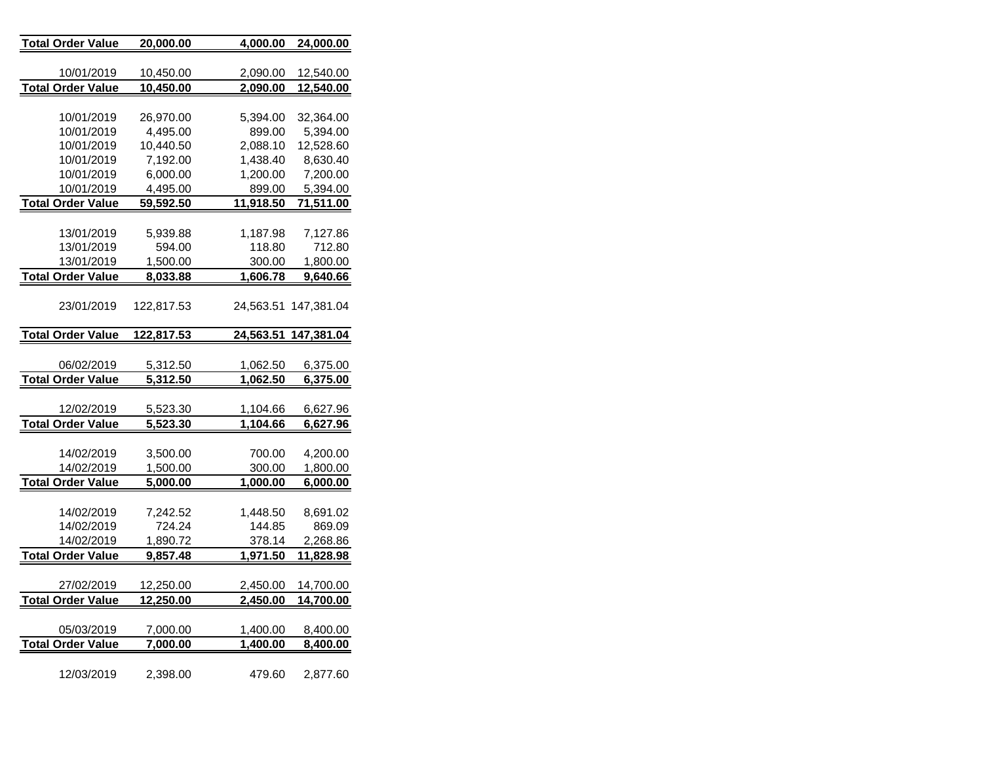| <u> Total Order Value</u> | <u>20,000.00</u> | <u>4,000.00</u> | 24,000.00         |
|---------------------------|------------------|-----------------|-------------------|
|                           |                  |                 |                   |
| 10/01/2019                | 10,450.00        | 2,090.00        | 12,540.00         |
| <b>Total Order Value</b>  | <u>10,450.00</u> | <u>2,090.00</u> | <u>12,540.00</u>  |
|                           |                  |                 |                   |
| 10/01/2019                | 26,970.00        | 5,394.00        | 32,364.00         |
| 10/01/2019                | 4,495.00         | 899.00          | 5,394.00          |
| 10/01/2019                | 10,440.50        | 2,088.10        | 12,528.60         |
| 10/01/2019                | 7,192.00         | 1,438.40        | 8,630.40          |
| 10/01/2019                | 6,000.00         | 1,200.00        | 7,200.00          |
| 10/01/2019                | 4,495.00         | 899.00          | 5,394.00          |
| <b>Total Order Value</b>  | 59,592.50        | 11,918.50       | 71,511.00         |
|                           |                  |                 |                   |
| 13/01/2019                | 5,939.88         | 1,187.98        | 7,127.86          |
| 13/01/2019                | 594.00           | 118.80          | 712.80            |
| 13/01/2019                | 1,500.00         | 300.00          | 1,800.00          |
| <b>Total Order Value</b>  | <u>8,033.88</u>  | <u>1,606.78</u> | <u>9,640.66</u>   |
|                           |                  |                 |                   |
| 23/01/2019                | 122,817.53       | 24,563.51       | 147,381.04        |
| <u> Total Order Value</u> | 122,817.53       | 24,563.51       | <u>147,381.04</u> |
|                           |                  |                 |                   |
| 06/02/2019                | 5,312.50         | 1,062.50        | 6,375.00          |
| <b>Total Order Value</b>  | 5,312.50         | <u>1,062.50</u> | 6,375.00          |
|                           |                  |                 |                   |
| 12/02/2019                | 5,523.30         | 1,104.66        | 6,627.96          |
| <b>Total Order Value</b>  | 5,523.30         | 1,104.66        | 6,627.96          |
|                           |                  |                 |                   |
| 14/02/2019                | 3,500.00         | 700.00          | 4,200.00          |
| 14/02/2019                | 1,500.00         | 300.00          | 1,800.00          |
| <b>Total Order Value</b>  | 5,000.00         | 1,000.00        | <u>6,000.00</u>   |
|                           |                  |                 |                   |
| 14/02/2019                | 7,242.52         | 1,448.50        | 8,691.02          |
| 14/02/2019                | 724.24           | 144.85          | 869.09            |
| 14/02/2019                | 1,890.72         | 378.14          | 2,268.86          |
| <b>Total Order Value</b>  | 9,857.48         | 1,971.50        | <u>11,828.98</u>  |
|                           |                  |                 |                   |
| 27/02/2019                | 12,250.00        | 2,450.00        | 14,700.00         |
| <b>Total Order Value</b>  | 12,250.00        | 2,450.00        | 14,700.00         |
|                           |                  |                 |                   |
| 05/03/2019                | 7,000.00         | 1,400.00        | 8,400.00          |
| <b>Total Order Value</b>  | <u>7,000.00</u>  | <u>1,400.00</u> | <u>8,400.00</u>   |
|                           |                  |                 |                   |
| 12/03/2019                | 2,398.00         | 479.60          | 2,877.60          |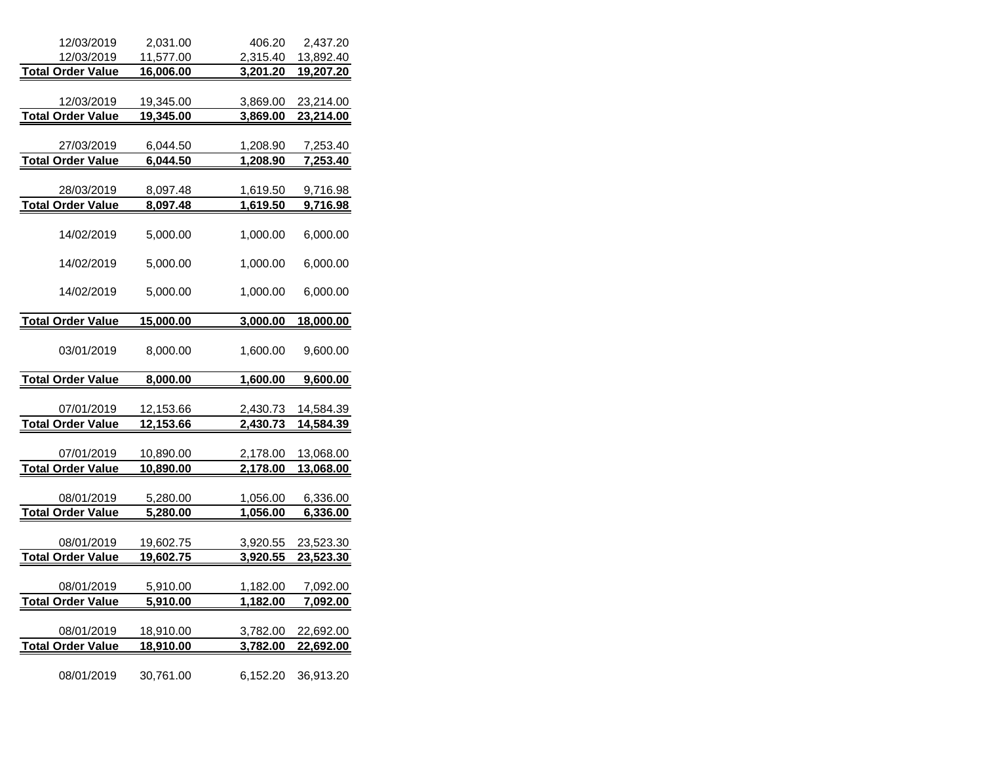| 12/03/2019                             | 2,031.00         | 406.20          | 2,437.20         |
|----------------------------------------|------------------|-----------------|------------------|
| 12/03/2019                             | 11,577.00        | 2,315.40        | 13,892.40        |
| <b>Total Order Value</b>               | 16,006.00        | 3,201.20        | 19,207.20        |
|                                        |                  |                 |                  |
| 12/03/2019                             | 19,345.00        | 3,869.00        | 23,214.00        |
| <b>Total Order Value</b>               | 19,345.00        | 3,869.00        | 23,214.00        |
|                                        |                  |                 |                  |
| 27/03/2019                             | 6,044.50         | 1,208.90        | 7,253.40         |
| <b>Total Order Value</b>               | 6,044.50         | 1,208.90        | 7,253.40         |
|                                        |                  |                 |                  |
| 28/03/2019<br><b>Total Order Value</b> | 8,097.48         | 1,619.50        | <u>9,716.98</u>  |
|                                        | 8,097.48         | 1,619.50        | 9,716.98         |
| 14/02/2019                             | 5,000.00         | 1,000.00        | 6,000.00         |
| 14/02/2019                             | 5,000.00         | 1,000.00        | 6,000.00         |
| 14/02/2019                             | 5,000.00         | 1,000.00        | 6,000.00         |
| <b>Total Order Value</b>               | <u>15,000.00</u> | 3,000.00        | 18,000.00        |
|                                        |                  |                 |                  |
| 03/01/2019                             | 8,000.00         | 1,600.00        | 9,600.00         |
| <b>Total Order Value</b>               | <u>8,000.00</u>  | <u>1,600.00</u> | 9,600.00         |
|                                        |                  |                 |                  |
| 07/01/2019                             | 12,153.66        | 2,430.73        | 14,584.39        |
| <b>Total Order Value</b>               | 12,153.66        | 2,430.73        | 14,584.39        |
|                                        |                  |                 |                  |
| 07/01/2019                             | 10,890.00        | 2,178.00        | 13,068.00        |
| <b>Total Order Value</b>               | 10,890.00        | 2,178.00        | 13,068.00        |
|                                        |                  |                 |                  |
| 08/01/2019                             | 5,280.00         | 1,056.00        | 6,336.00         |
| <b>Total Order Value</b>               | 5,280.00         | 1,056.00        | 6,336.00         |
|                                        |                  |                 |                  |
| 08/01/2019<br><b>Total Order Value</b> | 19,602.75        | 3,920.55        | 23,523.30        |
|                                        | <u>19,602.75</u> | <u>3,920.55</u> | <u>23,523.30</u> |
| 08/01/2019                             | <u>5,910.00</u>  | <u>1,182.00</u> | <u>7,092.00</u>  |
| <b>Total Order Value</b>               | <u>5,910.00</u>  | 1,182.00        | <u>7,092.00</u>  |
|                                        |                  |                 |                  |
| 08/01/2019                             | 18,910.00        | 3,782.00        | 22,692.00        |
| <b>Total Order Value</b>               | 18,910.00        | 3,782.00        | 22,692.00        |
|                                        |                  |                 |                  |
| 08/01/2019                             | 30,761.00        | 6,152.20        | 36,913.20        |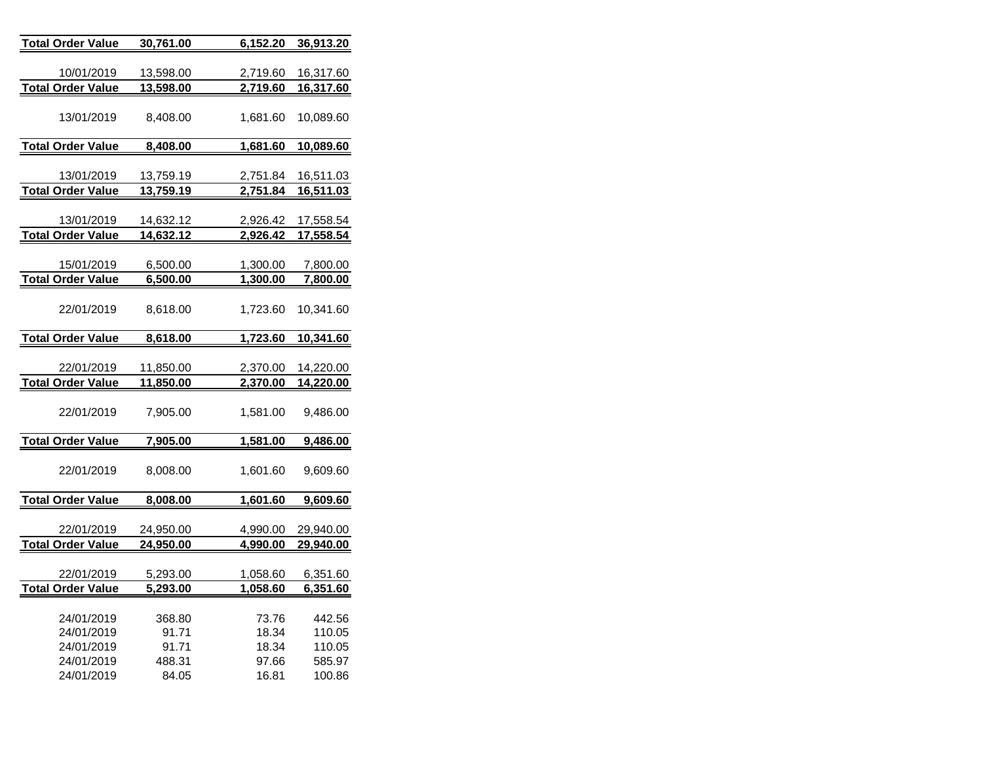| <b>Total Order Value</b>               | 30,761.00              | 6,152.20 | <u>36,913.20</u>       |
|----------------------------------------|------------------------|----------|------------------------|
|                                        |                        |          |                        |
| 10/01/2019                             | 13,598.00              | 2,719.60 | 16,317.60              |
| <b>Total Order Value</b>               | 13,598.00              | 2,719.60 | 16,317.60              |
|                                        |                        |          |                        |
| 13/01/2019                             | 8,408.00               | 1,681.60 | 10,089.60              |
|                                        |                        |          |                        |
| <b>Total Order Value</b>               | 8,408.00               | 1,681.60 | 10,089.60              |
|                                        |                        |          |                        |
| 13/01/2019                             | 13,759.19              | 2,751.84 | 16,511.03              |
| <b>Total Order Value</b>               | 13,759.19              | 2,751.84 | 16,511.03              |
|                                        |                        |          |                        |
| 13/01/2019<br><b>Total Order Value</b> | 14,632.12<br>14,632.12 | 2,926.42 | 17,558.54<br>17,558.54 |
|                                        |                        | 2,926.42 |                        |
| 15/01/2019                             | 6,500.00               | 1,300.00 | 7,800.00               |
| <b>Total Order Value</b>               | 6,500.00               | 1,300.00 | 7,800.00               |
|                                        |                        |          |                        |
| 22/01/2019                             | 8,618.00               | 1,723.60 | 10,341.60              |
|                                        |                        |          |                        |
| <b>Total Order Value</b>               | 8,618.00               | 1,723.60 | 10,341.60              |
|                                        |                        |          |                        |
| 22/01/2019                             | 11,850.00              | 2,370.00 | 14,220.00              |
| <b>Total Order Value</b>               | 11,850.00              | 2,370.00 | 14,220.00              |
|                                        |                        |          |                        |
| 22/01/2019                             | 7,905.00               | 1,581.00 | 9,486.00               |
|                                        |                        |          |                        |
| <b>Total Order Value</b>               | 7,905.00               | 1,581.00 | 9,486.00               |
|                                        |                        |          |                        |
| 22/01/2019                             | 8,008.00               | 1,601.60 | 9,609.60               |
|                                        |                        |          |                        |
| Total Order Value                      | 8,008.00               | 1,601.60 | 9,609.60               |
| 22/01/2019                             | 24,950.00              | 4,990.00 | 29,940.00              |
| <b>Total Order Value</b>               | 24,950.00              | 4,990.00 | 29,940.00              |
|                                        |                        |          |                        |
| 22/01/2019                             | 5,293.00               | 1,058.60 | 6,351.60               |
| <b>Total Order Value</b>               | 5,293.00               | 1,058.60 | 6,351.60               |
|                                        |                        |          |                        |
| 24/01/2019                             | 368.80                 | 73.76    | 442.56                 |
| 24/01/2019                             | 91.71                  | 18.34    | 110.05                 |
| 24/01/2019                             | 91.71                  | 18.34    | 110.05                 |
| 24/01/2019                             | 488.31                 | 97.66    | 585.97                 |
| 24/01/2019                             | 84.05                  | 16.81    | 100.86                 |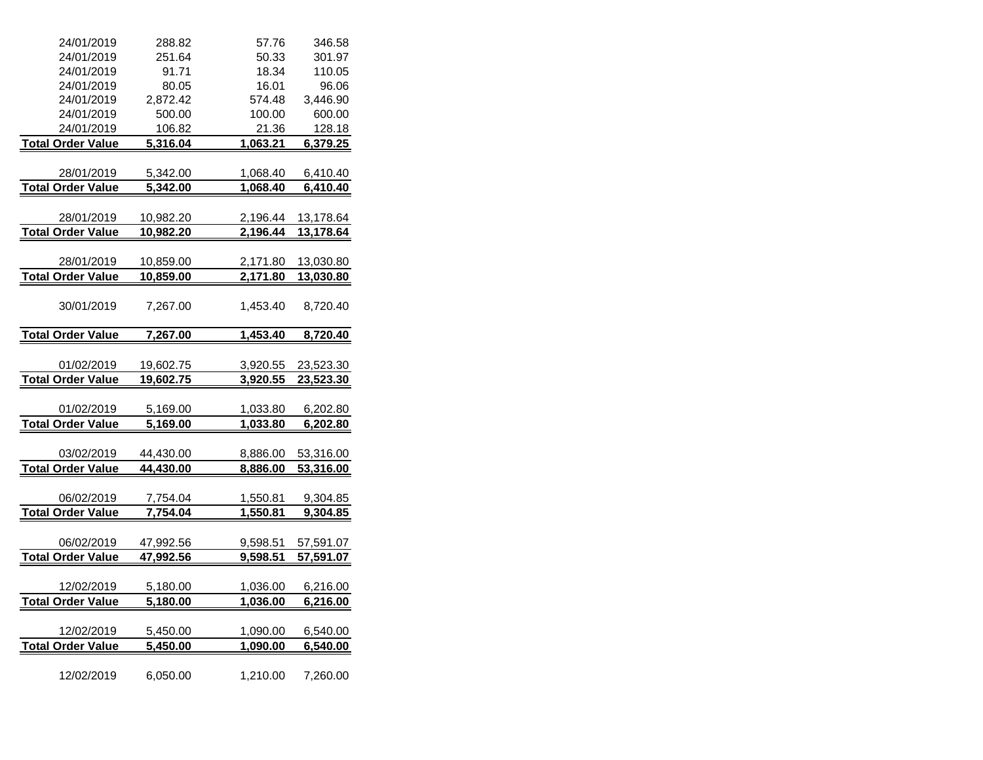| 24/01/2019               | 288.82    | 57.76    | 346.58    |
|--------------------------|-----------|----------|-----------|
| 24/01/2019               | 251.64    | 50.33    | 301.97    |
| 24/01/2019               | 91.71     | 18.34    | 110.05    |
| 24/01/2019               | 80.05     | 16.01    | 96.06     |
| 24/01/2019               | 2,872.42  | 574.48   | 3,446.90  |
| 24/01/2019               | 500.00    | 100.00   | 600.00    |
| 24/01/2019               | 106.82    | 21.36    | 128.18    |
| <b>Total Order Value</b> | 5,316.04  | 1,063.21 | 6,379.25  |
|                          |           |          |           |
| 28/01/2019               | 5,342.00  | 1,068.40 | 6,410.40  |
| <b>Total Order Value</b> | 5,342.00  | 1,068.40 | 6,410.40  |
|                          |           |          |           |
| 28/01/2019               | 10,982.20 | 2,196.44 | 13,178.64 |
| <b>Total Order Value</b> | 10,982.20 | 2,196.44 | 13,178.64 |
|                          |           |          |           |
| 28/01/2019               | 10,859.00 | 2,171.80 | 13,030.80 |
| <b>Total Order Value</b> | 10,859.00 | 2,171.80 | 13,030.80 |
|                          |           |          |           |
| 30/01/2019               | 7,267.00  | 1,453.40 | 8,720.40  |
|                          |           |          |           |
| <b>Total Order Value</b> | 7,267.00  | 1,453.40 | 8,720.40  |
|                          |           |          |           |
| 01/02/2019               | 19,602.75 | 3,920.55 | 23,523.30 |
| <b>Total Order Value</b> | 19,602.75 | 3,920.55 | 23,523.30 |
|                          |           |          |           |
| 01/02/2019               | 5,169.00  | 1,033.80 | 6,202.80  |
| <b>Total Order Value</b> | 5,169.00  | 1,033.80 | 6,202.80  |
|                          |           |          |           |
| 03/02/2019               | 44,430.00 | 8,886.00 | 53,316.00 |
| <b>Total Order Value</b> | 44,430.00 | 8,886.00 | 53,316.00 |
|                          |           |          |           |
| 06/02/2019               | 7,754.04  | 1,550.81 | 9,304.85  |
| <b>Total Order Value</b> | 7,754.04  | 1,550.81 | 9,304.85  |
|                          |           |          |           |
| 06/02/2019               | 47,992.56 | 9,598.51 | 57,591.07 |
| <b>Total Order Value</b> | 47,992.56 | 9,598.51 | 57,591.07 |
|                          |           |          |           |
| 12/02/2019               | 5,180.00  | 1,036.00 | 6,216.00  |
| <b>Total Order Value</b> | 5,180.00  | 1,036.00 | 6,216.00  |
|                          |           |          |           |
| 12/02/2019               | 5,450.00  | 1,090.00 | 6,540.00  |
| <b>Total Order Value</b> | 5,450.00  | 1,090.00 | 6,540.00  |
|                          |           |          |           |
| 12/02/2019               | 6,050.00  | 1,210.00 | 7,260.00  |
|                          |           |          |           |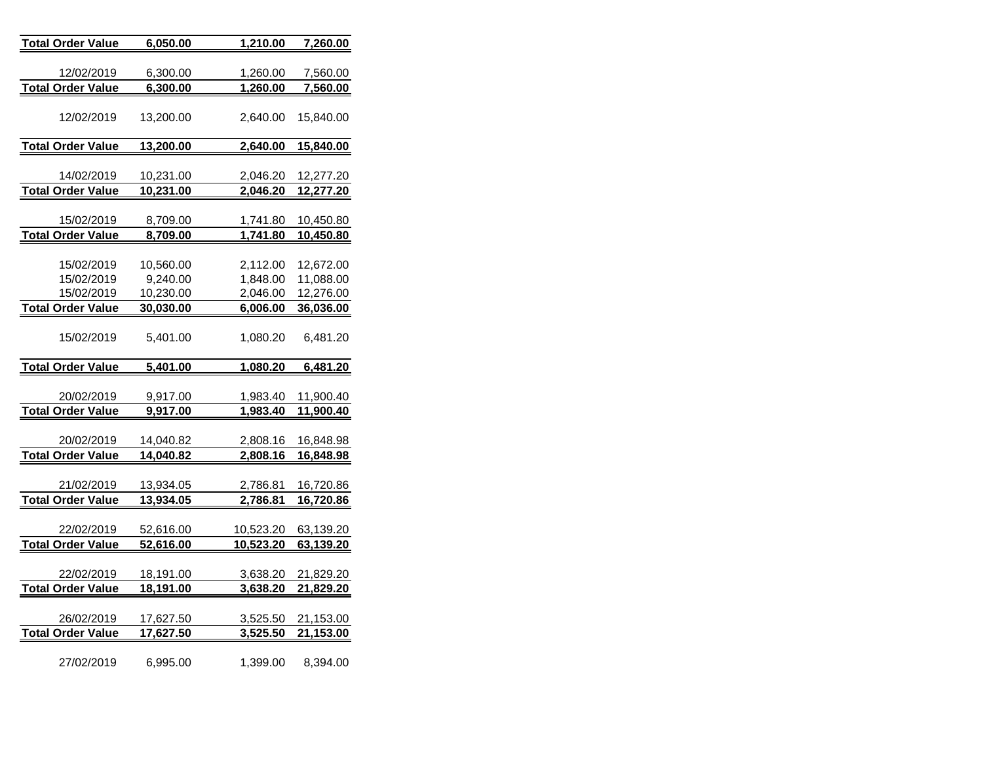| <b>Total Order Value</b> | 6,050.00               | 1,210.00             | 7,260.00               |
|--------------------------|------------------------|----------------------|------------------------|
|                          |                        |                      |                        |
| 12/02/2019               | 6,300.00               | 1,260.00             | 7,560.00               |
| <b>Total Order Value</b> | 6,300.00               | 1,260.00             | 7,560.00               |
| 12/02/2019               | 13,200.00              | 2,640.00             | 15,840.00              |
| <b>Total Order Value</b> | 13,200.00              | 2,640.00             | 15,840.00              |
|                          |                        |                      |                        |
| 14/02/2019               | 10,231.00              | 2,046.20             | 12,277.20              |
| <b>Total Order Value</b> | 10,231.00              | 2,046.20             | 12,277.20              |
|                          |                        |                      |                        |
| 15/02/2019               | 8,709.00               | 1,741.80             | 10,450.80              |
| <b>Total Order Value</b> | 8,709.00               | 1,741.80             | 10,450.80              |
|                          |                        |                      |                        |
| 15/02/2019               | 10,560.00              | 2,112.00             | 12,672.00              |
| 15/02/2019               | 9,240.00               | 1,848.00             | 11,088.00              |
| 15/02/2019               | 10,230.00              | 2,046.00             | 12,276.00              |
| <b>Total Order Value</b> | 30,030.00              | 6,006.00             | 36,036.00              |
| 15/02/2019               | 5,401.00               | 1,080.20             | 6,481.20               |
|                          |                        |                      |                        |
|                          |                        |                      |                        |
| <b>Total Order Value</b> | 5,401.00               | 1,080.20             | 6,481.20               |
|                          | 9,917.00               | 1,983.40             |                        |
| 20/02/2019               |                        |                      | 11,900.40              |
| <b>Total Order Value</b> | 9,917.00               | 1,983.40             | 11,900.40              |
| 20/02/2019               |                        |                      |                        |
|                          | 14,040.82<br>14,040.82 | 2,808.16<br>2,808.16 | 16,848.98<br>16,848.98 |
| <b>Total Order Value</b> |                        |                      |                        |
| 21/02/2019               | 13,934.05              | 2,786.81             | 16,720.86              |
| <b>Total Order Value</b> | 13,934.05              | 2,786.81             | 16,720.86              |
|                          |                        |                      |                        |
| 22/02/2019               | 52,616.00              | 10,523.20            | 63,139.20              |
| <b>Total Order Value</b> | <u>52,616.00</u>       | 10,523.20            | 63,139.20              |
|                          |                        |                      |                        |
| 22/02/2019               | 18,191.00              | 3,638.20             | 21,829.20              |
| <b>Total Order Value</b> | 18,191.00              | 3,638.20             | 21,829.20              |
|                          |                        |                      |                        |
| 26/02/2019               | 17,627.50              | 3,525.50             | 21,153.00              |
| <b>Total Order Value</b> | 17,627.50              | 3,525.50             | 21,153.00              |
|                          |                        |                      |                        |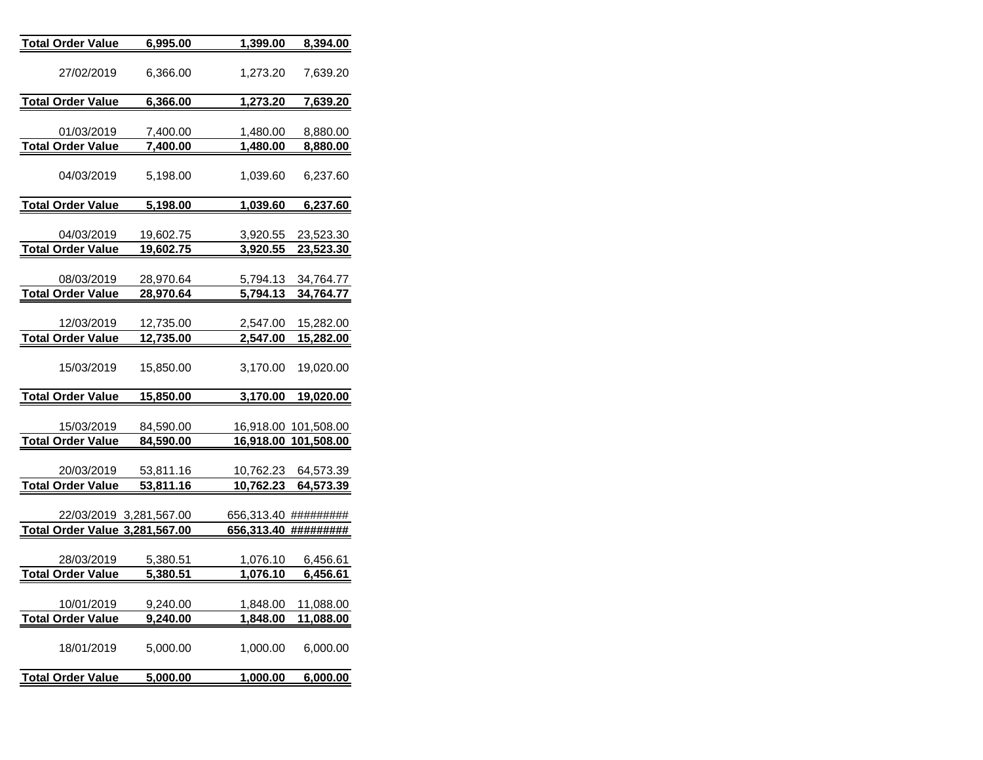| <u>Total Order Value</u>                | 6,995.00                      | 1,399.00                    | 8,394.00                      |
|-----------------------------------------|-------------------------------|-----------------------------|-------------------------------|
| 27/02/2019                              | 6,366.00                      | 1,273.20                    | 7,639.20                      |
| <u>Total Order Value</u>                | <u>6,366.00</u>               | <u>1,273.20</u>             | <u>7,639.20</u>               |
| 01/03/2019                              | 7,400.00                      | <u>1,480.00</u>             | 8,880.00                      |
| <b>Total Order Value</b>                | <u>7,400.00</u>               | <u>1,480.00</u>             | <u>8,880.00</u>               |
| 04/03/2019                              | 5,198.00                      | 1,039.60                    | 6,237.60                      |
| <u> Total Order Value</u>               | <u>5,198.00</u>               | <u>1,039.60</u>             | <u>6,237.60</u>               |
| 04/03/2019                              | 19,602.75                     | 3,920.55                    | 23,523.30                     |
| <u>Total Order Value</u>                | <u>19,602.75</u>              | 3,920.55                    | 23,523.30                     |
| 08/03/2019                              | 28,970.64                     | 5,794.13<br>5,794.13        | 34,764.77                     |
| <u>Total Order Value</u>                | <u>28,970.64</u>              |                             | 34,764.77                     |
| 12/03/2019<br><u> Total Order Value</u> | 12,735.00<br><u>12,735.00</u> | 2,547.00<br><u>2,547.00</u> | 15,282.00<br><u>15,282.00</u> |
| 15/03/2019                              | 15,850.00                     | 3,170.00                    | 19,020.00                     |
| <b>Total Order Value</b>                | 15,850.00                     | 3,170.00                    | <u>19,020.00</u>              |
| 15/03/2019                              | 84,590.00                     |                             | 16,918.00 101,508.00          |
| <b>Total Order Value</b>                | 84,590.00                     |                             | 16,918.00 101,508.00          |
| 20/03/2019                              | 53,811.16                     | 10,762.23                   | 64,573.39                     |
| <b>Total Order Value</b>                | <u>53,811.16</u>              | <u>10,762.23</u>            | <u>64,573.39</u>              |
| Total Order Value 3,281,567.00          | 22/03/2019 3,281,567.00       | 656,313.40<br>656,313.40    | #########<br>#########        |
|                                         |                               |                             |                               |
| 28/03/2019                              | 5,380.51                      | 1,076.10                    | 6,456.61                      |
| <b>Total Order Value</b>                | 5,380.51                      | <u>1,076.10</u>             | <u>6,456.61</u>               |
| 10/01/2019                              | 9,240.00                      | 1,848.00                    | 11,088.00                     |
| <b>Total Order Value</b>                | 9,240.00                      | <u>1,848.00</u>             | <u>11,088.00</u>              |
| 18/01/2019                              | 5,000.00                      | 1,000.00                    | 6,000.00                      |
| <u>Total Order Value</u>                | <u>5,000.00</u>               | <u>1,000.00</u>             | <u>6,000.00</u>               |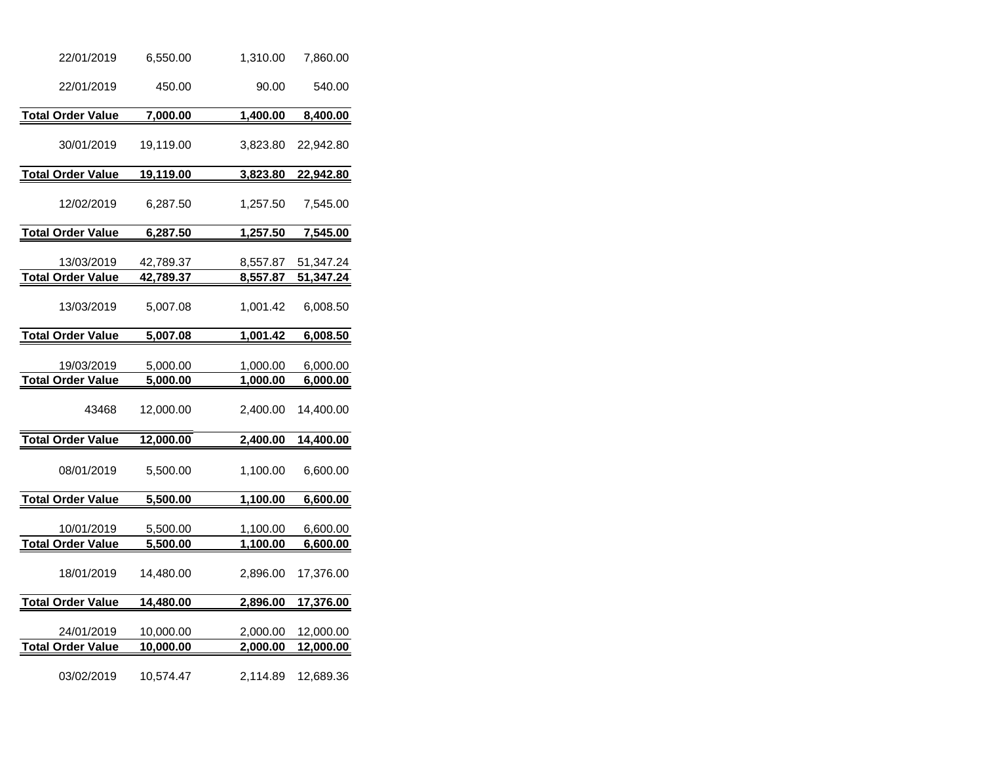| 22/01/2019                             | 6,550.00               | 1,310.00                    | 7,860.00               |
|----------------------------------------|------------------------|-----------------------------|------------------------|
| 22/01/2019                             | 450.00                 | 90.00                       | 540.00                 |
| <b>Total Order Value</b>               | 7,000.00               | 1,400.00                    | 8,400.00               |
| 30/01/2019                             | 19,119.00              | 3,823.80                    | 22,942.80              |
| <b>Total Order Value</b>               | 19,119.00              | 3,823.80                    | 22,942.80              |
| 12/02/2019                             | 6,287.50               | 1,257.50                    | 7,545.00               |
| <b>Total Order Value</b>               | 6,287.50               | 1,257.50                    | 7,545.00               |
| 13/03/2019<br><b>Total Order Value</b> | 42,789.37<br>42,789.37 | 8,557.87<br>8,557.87        | 51,347.24<br>51,347.24 |
| 13/03/2019                             | 5,007.08               | 1,001.42                    | 6,008.50               |
| <b>Total Order Value</b>               | 5,007.08               | 1,001.42                    | 6,008.50               |
| 19/03/2019<br><b>Total Order Value</b> | 5,000.00<br>5,000.00   | 1,000.00<br>1,000.00        | 6,000.00<br>6,000.00   |
| 43468                                  | 12,000.00              | 2,400.00                    | 14,400.00              |
| <b>Total Order Value</b>               | 12,000.00              | 2,400.00                    | 14,400.00              |
| 08/01/2019                             | 5,500.00               | 1,100.00                    | 6,600.00               |
| <b>Total Order Value</b>               | 5,500.00               | 1,100.00                    | 6,600.00               |
| 10/01/2019<br><b>Total Order Value</b> | 5,500.00<br>5,500.00   | 1,100.00<br>1,100.00        | 6,600.00<br>6,600.00   |
| 18/01/2019                             | 14,480.00              | 2,896.00                    | 17,376.00              |
| <b>Total Order Value</b>               | 14,480.00              | 2,896.00                    | 17,376.00              |
| 24/01/2019<br><b>Total Order Value</b> | 10,000.00<br>10,000.00 | 2,000.00<br><u>2,000.00</u> | 12,000.00<br>12,000.00 |
| 03/02/2019                             | 10,574.47              | 2,114.89                    | 12,689.36              |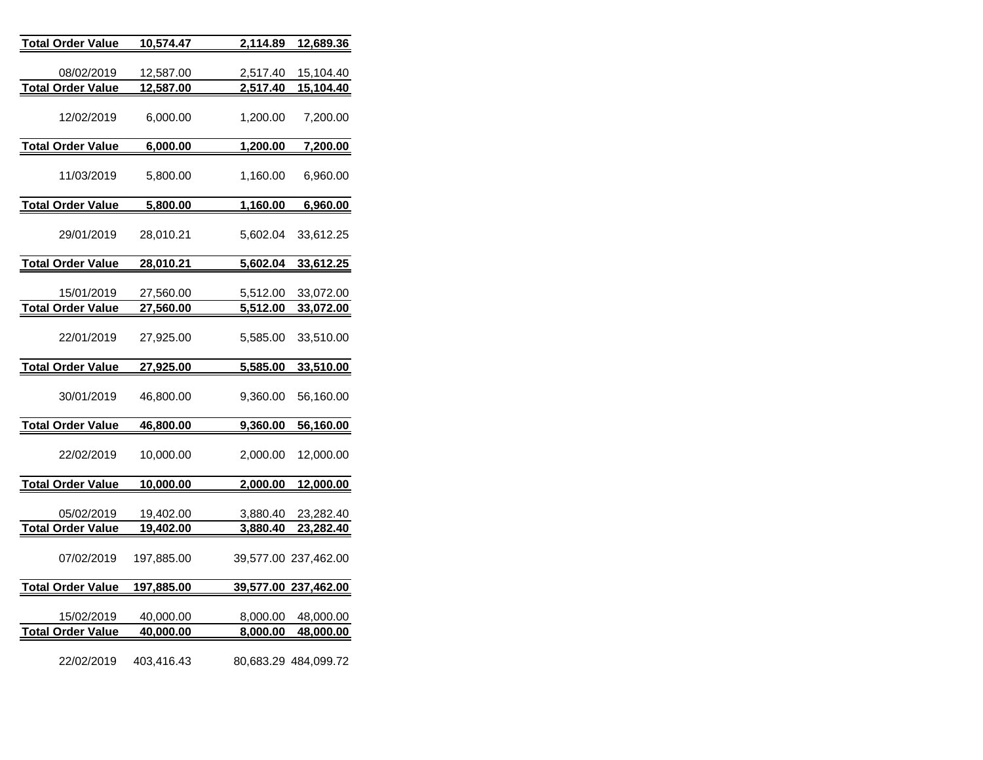| <b>Total Order Value</b>               | 10,574.47                     | 2,114.89             | 12,689.36              |
|----------------------------------------|-------------------------------|----------------------|------------------------|
| 08/02/2019                             | 12,587.00                     | 2,517.40             | 15,104.40              |
| <b>Total Order Value</b>               | 12,587.00                     | 2,517.40             | 15,104.40              |
| 12/02/2019                             | 6,000.00                      | 1,200.00             | 7,200.00               |
| <b>Total Order Value</b>               | 6,000.00                      | 1,200.00             | 7,200.00               |
| 11/03/2019                             | 5,800.00                      | 1,160.00             | 6,960.00               |
| Total Order Value                      | 5,800.00                      | 1,160.00             | 6,960.00               |
| 29/01/2019                             | 28,010.21                     | 5,602.04             | 33,612.25              |
| <b>Total Order Value</b>               | 28,010.21                     | 5,602.04             | 33,612.25              |
| 15/01/2019                             | 27,560.00                     | 5,512.00             | 33,072.00              |
| <b>Total Order Value</b>               | 27,560.00                     | 5,512.00             | 33,072.00              |
| 22/01/2019                             | 27,925.00                     | 5,585.00             | 33,510.00              |
| <b>Total Order Value</b>               | 27,925.00                     | <u>5,585.00</u>      | 33,510.00              |
| 30/01/2019                             | 46,800.00                     | 9,360.00             | 56,160.00              |
| <b>Total Order Value</b>               | 46,800.00                     | 9,360.00             | 56,160.00              |
| 22/02/2019                             | 10,000.00                     | 2,000.00             | 12,000.00              |
| <b>Total Order Value</b>               | 10,000.00                     | 2,000.00             | 12,000.00              |
| 05/02/2019<br><b>Total Order Value</b> | 19,402.00<br><u>19,402.00</u> | 3,880.40<br>3,880.40 | 23,282.40<br>23,282.40 |
| 07/02/2019                             | 197,885.00                    |                      | 39,577.00 237,462.00   |
| <b>Total Order Value</b>               | 197,885.00                    |                      | 39,577.00 237,462.00   |
| 15/02/2019<br><b>Total Order Value</b> | 40,000.00<br>40,000.00        | 8,000.00<br>8,000.00 | 48,000.00<br>48,000.00 |
| 22/02/2019                             | 403,416.43                    |                      | 80,683.29 484,099.72   |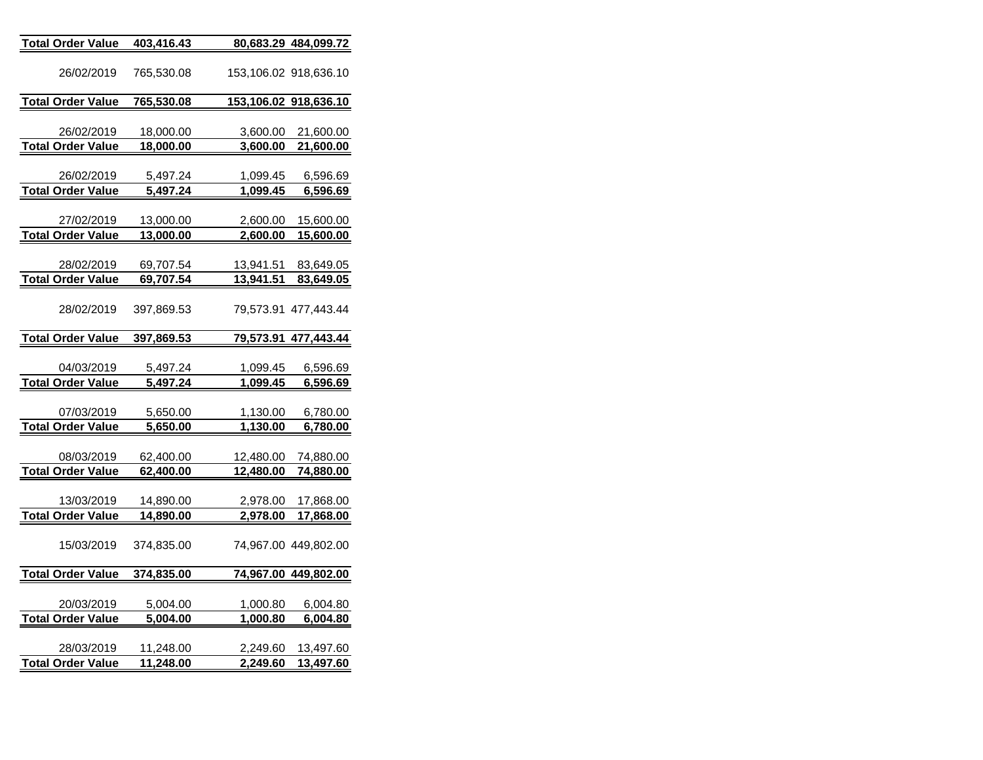| <b>Total Order Value</b>               | 403,416.43             |                        | 80,683.29 484,099.72         |
|----------------------------------------|------------------------|------------------------|------------------------------|
| 26/02/2019                             | 765,530.08             |                        | 153,106.02 918,636.10        |
| <b>Total Order Value</b>               | 765,530.08             |                        | 153,106.02 918,636.10        |
|                                        |                        |                        |                              |
| 26/02/2019                             | 18,000.00              | 3,600.00               | 21,600.00                    |
| <b>Total Order Value</b>               | 18,000.00              | 3,600.00               | 21,600.00                    |
| 26/02/2019                             | 5,497.24               | 1,099.45               | 6,596.69                     |
| <b>Total Order Value</b>               | 5,497.24               | 1,099.45               | 6,596.69                     |
|                                        |                        |                        |                              |
| 27/02/2019                             | 13,000.00              | 2,600.00               | 15,600.00                    |
| <b>Total Order Value</b>               | 13,000.00              | 2,600.00               | 15,600.00                    |
| 28/02/2019                             | 69,707.54              | 13,941.51              | 83,649.05                    |
| <b>Total Order Value</b>               | <u>69,707.54</u>       | 13,941.51              | 83,649.05                    |
|                                        |                        |                        |                              |
| 28/02/2019                             | 397,869.53             |                        | 79,573.91 477,443.44         |
|                                        |                        |                        |                              |
| <b>Total Order Value</b>               | <u>397,869.53</u>      |                        | <u>79,573.91 477,443.44 </u> |
| 04/03/2019                             | 5,497.24               | 1,099.45               | 6,596.69                     |
| <b>Total Order Value</b>               | 5,497.24               | 1,099.45               | 6,596.69                     |
|                                        |                        |                        |                              |
| 07/03/2019                             | 5,650.00               | <u>1,130.00</u>        | 6,780.00                     |
| <b>Total Order Value</b>               | 5,650.00               | 1,130.00               | 6,780.00                     |
| 08/03/2019                             |                        |                        |                              |
| <b>Total Order Value</b>               | 62,400.00<br>62,400.00 | 12,480.00<br>12,480.00 | 74,880.00<br>74,880.00       |
|                                        |                        |                        |                              |
| 13/03/2019                             | 14,890.00              | 2,978.00               | 17,868.00                    |
| <b>Total Order Value</b>               | 14,890.00              | 2,978.00               | 17,868.00                    |
|                                        |                        |                        |                              |
| 15/03/2019                             | 374,835.00             |                        | 74,967.00 449,802.00         |
| <b>Total Order Value</b>               | <u>374,835.00</u>      |                        | <u>74,967.00 449,802.00</u>  |
|                                        |                        |                        |                              |
| 20/03/2019                             | 5,004.00               | 1,000.80               | 6,004.80                     |
| <b>Total Order Value</b>               | 5,004.00               | <u>1,000.80</u>        | <u>6,004.80</u>              |
|                                        |                        |                        |                              |
| 28/03/2019<br><b>Total Order Value</b> | 11,248.00<br>11,248.00 | 2,249.60<br>2,249.60   | 13,497.60<br>13,497.60       |
|                                        |                        |                        |                              |